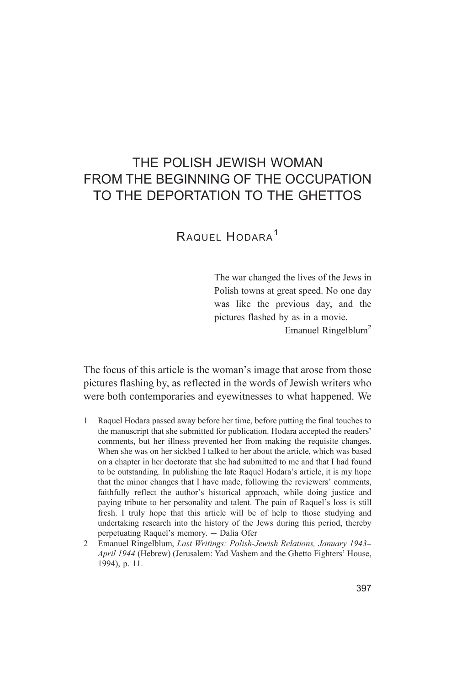# THE POLISH JEWISH WOMAN FROM THE BEGINNING OF THE OCCUPATION TO THE DEPORTATION TO THE GHETTOS

RAQUEL HODARA<sup>1</sup>

The war changed the lives of the Jews in Polish towns at great speed. No one day was like the previous day, and the pictures flashed by as in a movie.

Emanuel Ringelblum<sup>2</sup>

The focus of this article is the woman's image that arose from those pictures flashing by, as reflected in the words of Jewish writers who were both contemporaries and evewitnesses to what happened. We

- Raquel Hodara passed away before her time, before putting the final touches to  $\mathbf{1}$ the manuscript that she submitted for publication. Hodara accepted the readers' comments, but her illness prevented her from making the requisite changes. When she was on her sickbed I talked to her about the article, which was based on a chapter in her doctorate that she had submitted to me and that I had found to be outstanding. In publishing the late Raquel Hodara's article, it is my hope that the minor changes that I have made, following the reviewers' comments, faithfully reflect the author's historical approach, while doing justice and paying tribute to her personality and talent. The pain of Raquel's loss is still fresh. I truly hope that this article will be of help to those studying and undertaking research into the history of the Jews during this period, thereby perpetuating Raquel's memory. - Dalia Ofer
- 2 Emanuel Ringelblum, Last Writings; Polish-Jewish Relations, January 1943-April 1944 (Hebrew) (Jerusalem: Yad Vashem and the Ghetto Fighters' House, 1994), p. 11.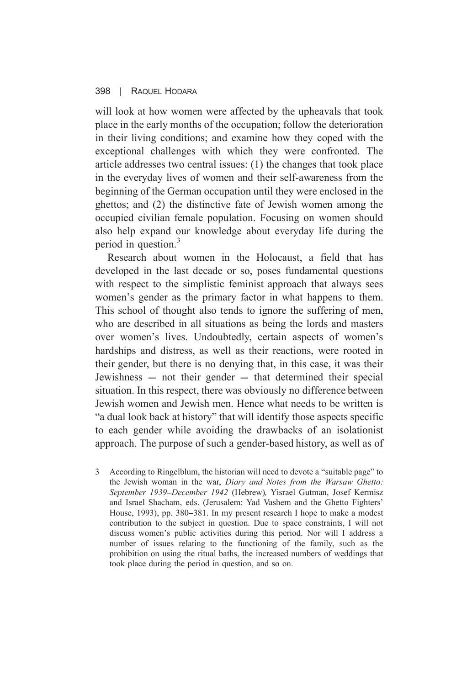will look at how women were affected by the upheavals that took place in the early months of the occupation: follow the deterioration in their living conditions; and examine how they coped with the exceptional challenges with which they were confronted. The article addresses two central issues: (1) the changes that took place in the everyday lives of women and their self-awareness from the beginning of the German occupation until they were enclosed in the ghettos: and (2) the distinctive fate of Jewish women among the occupied civilian female population. Focusing on women should also help expand our knowledge about everyday life during the period in question.<sup>3</sup>

Research about women in the Holocaust, a field that has developed in the last decade or so, poses fundamental questions with respect to the simplistic feminist approach that always sees women's gender as the primary factor in what happens to them. This school of thought also tends to ignore the suffering of men, who are described in all situations as being the lords and masters over women's lives. Undoubtedly, certain aspects of women's hardships and distress, as well as their reactions, were rooted in their gender, but there is no denying that, in this case, it was their Jewishness – not their gender – that determined their special situation. In this respect, there was obviously no difference between Jewish women and Jewish men. Hence what needs to be written is "a dual look back at history" that will identify those aspects specific to each gender while avoiding the drawbacks of an isolationist approach. The purpose of such a gender-based history, as well as of

3 According to Ringelblum, the historian will need to devote a "suitable page" to the Jewish woman in the war, Diary and Notes from the Warsaw Ghetto: September 1939-December 1942 (Hebrew), Yisrael Gutman, Josef Kermisz and Israel Shacham, eds. (Jerusalem: Yad Vashem and the Ghetto Fighters' House, 1993), pp. 380–381. In my present research I hope to make a modest contribution to the subject in question. Due to space constraints, I will not discuss women's public activities during this period. Nor will I address a number of issues relating to the functioning of the family, such as the prohibition on using the ritual baths, the increased numbers of weddings that took place during the period in question, and so on.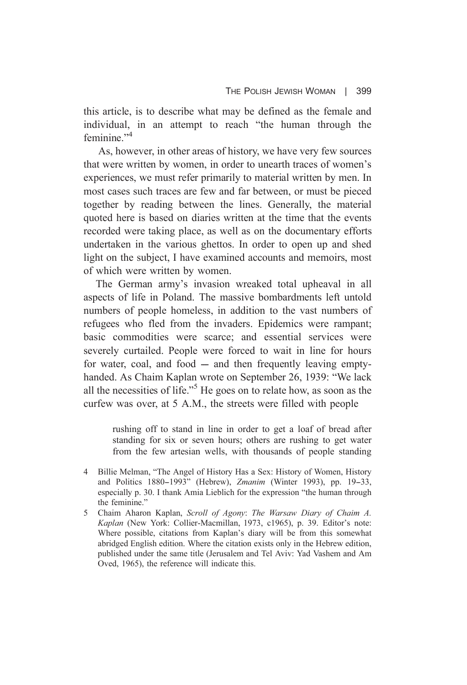this article, is to describe what may be defined as the female and individual, in an attempt to reach "the human through the feminine $^{3,4}$ 

As, however, in other areas of history, we have very few sources that were written by women, in order to unearth traces of women's experiences, we must refer primarily to material written by men. In most cases such traces are few and far between, or must be pieced together by reading between the lines. Generally, the material quoted here is based on diaries written at the time that the events recorded were taking place, as well as on the documentary efforts undertaken in the various ghettos. In order to open up and shed light on the subject. I have examined accounts and memoirs, most of which were written by women.

The German army's invasion wreaked total upheaval in all aspects of life in Poland. The massive bombardments left untold numbers of people homeless, in addition to the vast numbers of refugees who fled from the invaders. Epidemics were rampant; basic commodities were scarce; and essential services were severely curtailed. People were forced to wait in line for hours for water, coal, and food  $-$  and then frequently leaving emptyhanded. As Chaim Kaplan wrote on September 26, 1939: "We lack all the necessities of life."<sup>5</sup> He goes on to relate how, as soon as the curfew was over, at 5 A.M., the streets were filled with people

> rushing off to stand in line in order to get a loaf of bread after standing for six or seven hours; others are rushing to get water from the few artesian wells, with thousands of people standing

- 4 Billie Melman, "The Angel of History Has a Sex: History of Women, History and Politics 1880–1993" (Hebrew), Zmanim (Winter 1993), pp. 19–33, especially p. 30. I thank Amia Lieblich for the expression "the human through the feminine."
- $5<sup>-1</sup>$ Chaim Aharon Kaplan, Scroll of Agony: The Warsaw Diary of Chaim A. Kaplan (New York: Collier-Macmillan, 1973, c1965), p. 39. Editor's note: Where possible, citations from Kaplan's diary will be from this somewhat abridged English edition. Where the citation exists only in the Hebrew edition. published under the same title (Jerusalem and Tel Aviv: Yad Vashem and Am Oved, 1965), the reference will indicate this.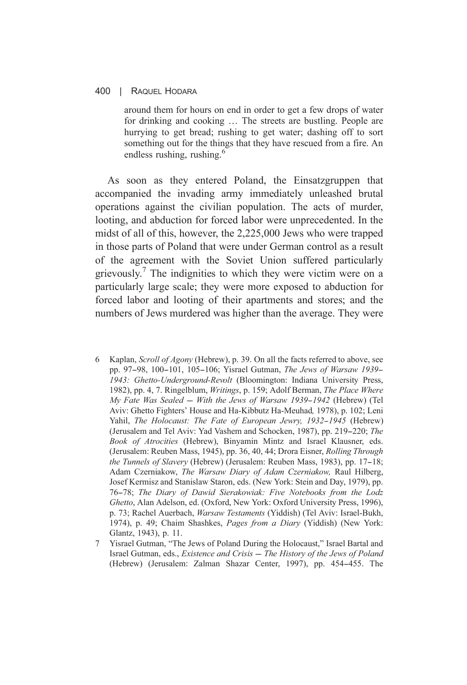around them for hours on end in order to get a few drops of water for drinking and cooking ... The streets are bustling. People are hurrying to get bread; rushing to get water; dashing off to sort something out for the things that they have rescued from a fire. An endless rushing, rushing.<sup>6</sup>

As soon as they entered Poland, the Einsatzgruppen that accompanied the invading army immediately unleashed brutal operations against the civilian population. The acts of murder, looting, and abduction for forced labor were unprecedented. In the midst of all of this, however, the 2,225,000 Jews who were trapped in those parts of Poland that were under German control as a result of the agreement with the Soviet Union suffered particularly grievously.<sup>7</sup> The indignities to which they were victim were on a particularly large scale; they were more exposed to abduction for forced labor and looting of their apartments and stores; and the numbers of Jews murdered was higher than the average. They were

- Kaplan, *Scroll of Agony* (Hebrew), p. 39. On all the facts referred to above, see 6 pp. 97-98, 100-101, 105-106; Yisrael Gutman, The Jews of Warsaw 1939-1943: Ghetto-Underground-Revolt (Bloomington: Indiana University Press, 1982), pp. 4, 7. Ringelblum, Writings, p. 159; Adolf Berman, The Place Where My Fate Was Sealed - With the Jews of Warsaw 1939-1942 (Hebrew) (Tel Aviv: Ghetto Fighters' House and Ha-Kibbutz Ha-Meuhad, 1978), p. 102; Leni Yahil, The Holocaust: The Fate of European Jewry, 1932-1945 (Hebrew) (Jerusalem and Tel Aviv: Yad Vashem and Schocken, 1987), pp. 219-220; The Book of Atrocities (Hebrew), Binyamin Mintz and Israel Klausner, eds. (Jerusalem: Reuben Mass, 1945), pp. 36, 40, 44; Drora Eisner, Rolling Through the Tunnels of Slavery (Hebrew) (Jerusalem: Reuben Mass, 1983), pp. 17-18; Adam Czerniakow, The Warsaw Diary of Adam Czerniakow, Raul Hilberg, Josef Kermisz and Stanislaw Staron, eds. (New York: Stein and Day, 1979), pp. 76-78; The Diary of Dawid Sierakowiak: Five Notebooks from the Lodz Ghetto, Alan Adelson, ed. (Oxford, New York: Oxford University Press, 1996). p. 73; Rachel Auerbach, Warsaw Testaments (Yiddish) (Tel Aviv: Israel-Bukh, 1974), p. 49; Chaim Shashkes, *Pages from a Diary* (Yiddish) (New York: Glantz, 1943), p. 11.
- 7 Yisrael Gutman, "The Jews of Poland During the Holocaust," Israel Bartal and Israel Gutman, eds., Existence and Crisis - The History of the Jews of Poland (Hebrew) (Jerusalem: Zalman Shazar Center, 1997), pp. 454-455. The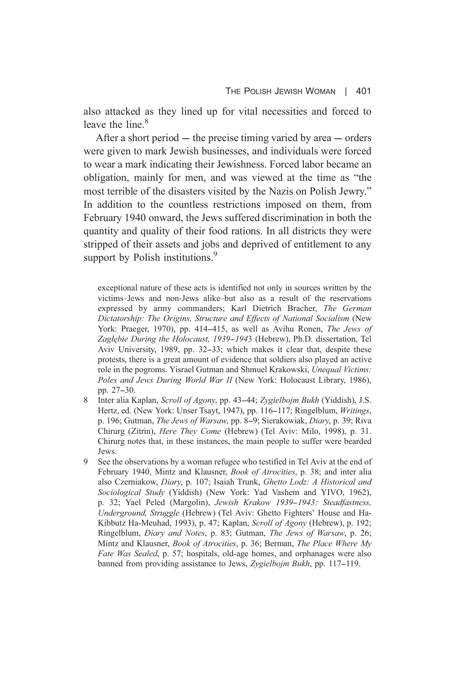also attacked as they lined up for vital necessities and forced to leave the line.<sup>8</sup>

After a short period  $-$  the precise timing varied by area  $-$  orders were given to mark Jewish businesses, and individuals were forced to wear a mark indicating their Jewishness. Forced labor became an obligation, mainly for men, and was viewed at the time as "the most terrible of the disasters visited by the Nazis on Polish Jewry." In addition to the countless restrictions imposed on them, from February 1940 onward, the Jews suffered discrimination in both the quantity and quality of their food rations. In all districts they were stripped of their assets and jobs and deprived of entitlement to any support by Polish institutions.<sup>9</sup>

exceptional nature of these acts is identified not only in sources written by the victims-Jews and non-Jews alike-but also as a result of the reservations expressed by army commanders; Karl Dietrich Bracher, The German Dictatorship: The Origins, Structure and Effects of National Socialism (New York: Praeger, 1970), pp. 414–415, as well as Avihu Ronen, The Jews of Zaglębie During the Holocaust, 1939-1943 (Hebrew), Ph.D. dissertation, Tel Aviv University, 1989, pp. 32–33; which makes it clear that, despite these protests, there is a great amount of evidence that soldiers also played an active role in the pogroms. Yisrael Gutman and Shmuel Krakowski, Unequal Victims: Poles and Jews During World War II (New York: Holocaust Library, 1986), pp. 27-30.

- 8 Inter alia Kaplan, Scroll of Agony, pp. 43–44; Zygielbojm Bukh (Yiddish), J.S. Hertz, ed. (New York: Unser Tsayt, 1947), pp. 116–117; Ringelblum, Writings, p. 196; Gutman, *The Jews of Warsaw*, pp. 8–9; Sierakowiak, *Diary*, p. 39; Riva Chirurg (Zitrin), Here They Come (Hebrew) (Tel Aviv: Milo, 1998), p. 31. Chirurg notes that, in these instances, the main people to suffer were bearded Jews.
- See the observations by a woman refugee who testified in Tel Aviv at the end of  $Q$ February 1940, Mintz and Klausner, *Book of Atrocities*, p. 38; and inter alia also Czerniakow, Diary, p. 107; Isaiah Trunk, Ghetto Lodz: A Historical and Sociological Study (Yiddish) (New York: Yad Vashem and YIVO, 1962), p. 32: Yael Peled (Margolin), Jewish Krakow 1939–1943: Steadfastness, Underground, Struggle (Hebrew) (Tel Aviv: Ghetto Fighters' House and Ha-Kibbutz Ha-Meuhad, 1993), p. 47; Kaplan, Scroll of Agony (Hebrew), p. 192; Ringelblum, *Diary and Notes*, p. 83; Gutman, *The Jews of Warsaw*, p. 26; Mintz and Klausner, Book of Atrocities, p. 36; Berman, The Place Where My Fate Was Sealed, p. 57; hospitals, old-age homes, and orphanages were also banned from providing assistance to Jews, Zygielbojm Bukh, pp. 117–119.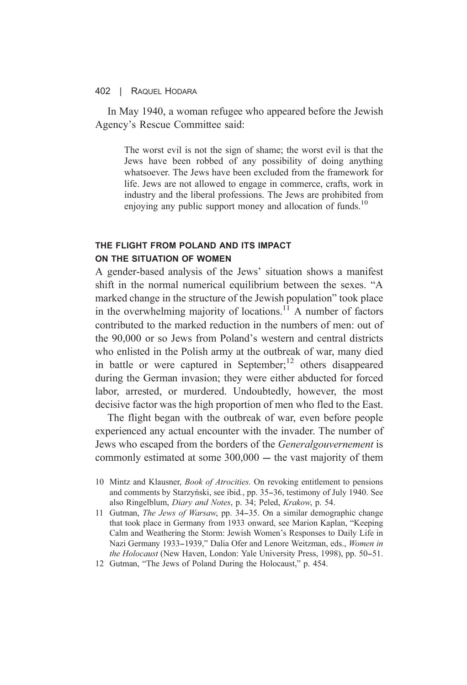In May 1940, a woman refugee who appeared before the Jewish Agency's Rescue Committee said:

> The worst evil is not the sign of shame; the worst evil is that the Jews have been robbed of any possibility of doing anything whatsoever. The Jews have been excluded from the framework for life. Jews are not allowed to engage in commerce, crafts, work in industry and the liberal professions. The Jews are prohibited from enjoying any public support money and allocation of funds.<sup>10</sup>

# THE FLIGHT FROM POLAND AND ITS IMPACT ON THE SITUATION OF WOMEN

A gender-based analysis of the Jews' situation shows a manifest shift in the normal numerical equilibrium between the sexes. "A marked change in the structure of the Jewish population" took place in the overwhelming majority of locations.<sup>11</sup> A number of factors contributed to the marked reduction in the numbers of men: out of the 90,000 or so Jews from Poland's western and central districts who enlisted in the Polish army at the outbreak of war, many died in battle or were captured in September;<sup>12</sup> others disappeared during the German invasion; they were either abducted for forced labor, arrested, or murdered. Undoubtedly, however, the most decisive factor was the high proportion of men who fled to the East.

The flight began with the outbreak of war, even before people experienced any actual encounter with the invader. The number of Jews who escaped from the borders of the *Generalgouvernement* is commonly estimated at some  $300,000 -$  the vast majority of them

- 11 Gutman, *The Jews of Warsaw*, pp. 34–35. On a similar demographic change that took place in Germany from 1933 onward, see Marion Kaplan, "Keeping Calm and Weathering the Storm: Jewish Women's Responses to Daily Life in Nazi Germany 1933–1939." Dalia Ofer and Lenore Weitzman, eds., Women in the Holocaust (New Haven, London: Yale University Press, 1998), pp. 50–51.
- 12 Gutman, "The Jews of Poland During the Holocaust," p. 454.

<sup>10</sup> Mintz and Klausner, *Book of Atrocities*. On revoking entitlement to pensions and comments by Starzyński, see ibid., pp. 35–36, testimony of July 1940. See also Ringelblum, *Diary and Notes*, p. 34; Peled, *Krakow*, p. 54.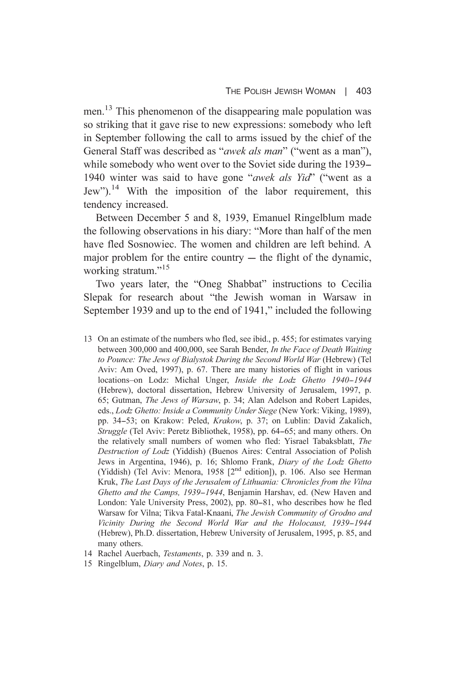men.<sup>13</sup> This phenomenon of the disappearing male population was so striking that it gave rise to new expressions: somebody who left in September following the call to arms issued by the chief of the General Staff was described as "*awek als man*" ("went as a man"), while somebody who went over to the Soviet side during the 1939– 1940 winter was said to have gone "awek als Yid" ("went as a Jew").<sup>14</sup> With the imposition of the labor requirement, this tendency increased.

Between December 5 and 8, 1939, Emanuel Ringelblum made the following observations in his diary: "More than half of the men have fled Sosnowiec. The women and children are left behind. A major problem for the entire country  $-$  the flight of the dynamic. working stratum."<sup>15</sup>

Two years later, the "Oneg Shabbat" instructions to Cecilia Slepak for research about "the Jewish woman in Warsaw in September 1939 and up to the end of 1941," included the following

- 13 On an estimate of the numbers who fled, see ibid., p. 455; for estimates varying between 300,000 and 400,000, see Sarah Bender, In the Face of Death Waiting to Pounce: The Jews of Bialystok During the Second World War (Hebrew) (Tel Aviv: Am Oved, 1997), p. 67. There are many histories of flight in various locations-on Lodz: Michal Unger, Inside the Lodz Ghetto 1940-1944 (Hebrew), doctoral dissertation, Hebrew University of Jerusalem, 1997, p. 65: Gutman, *The Jews of Warsaw*, p. 34: Alan Adelson and Robert Lapides, eds., Lodz Ghetto: Inside a Community Under Siege (New York: Viking, 1989), pp. 34–53; on Krakow: Peled, Krakow, p. 37; on Lublin: David Zakalich, Struggle (Tel Aviv: Peretz Bibliothek, 1958), pp. 64-65; and many others. On the relatively small numbers of women who fled: Yisrael Tabaksblatt, The Destruction of Lodz (Yiddish) (Buenos Aires: Central Association of Polish Jews in Argentina, 1946), p. 16; Shlomo Frank, Diary of the Lodz Ghetto (Yiddish) (Tel Aviv: Menora, 1958 [2<sup>nd</sup> edition]), p. 106. Also see Herman Kruk, The Last Days of the Jerusalem of Lithuania: Chronicles from the Vilna Ghetto and the Camps, 1939–1944, Benjamin Harshav, ed. (New Haven and London: Yale University Press, 2002), pp. 80–81, who describes how he fled Warsaw for Vilna; Tikva Fatal-Knaani, The Jewish Community of Grodno and Vicinity During the Second World War and the Holocaust, 1939–1944 (Hebrew), Ph.D. dissertation, Hebrew University of Jerusalem, 1995, p. 85, and many others.
- 14 Rachel Auerbach, Testaments, p. 339 and n. 3.
- 15 Ringelblum, Diary and Notes, p. 15.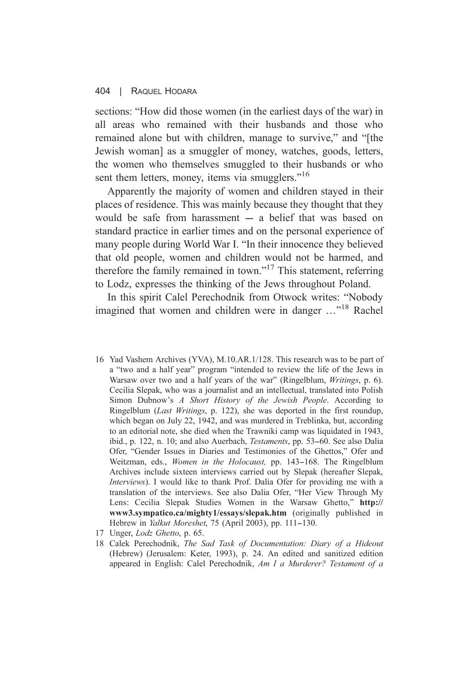sections: "How did those women (in the earliest days of the war) in all areas who remained with their husbands and those who remained alone but with children, manage to survive," and "[the Jewish woman) as a smuggler of money, watches, goods, letters, the women who themselves smuggled to their husbands or who sent them letters, money, items via smugglers."<sup>16</sup>

Apparently the majority of women and children stayed in their places of residence. This was mainly because they thought that they would be safe from harassment  $-$  a belief that was based on standard practice in earlier times and on the personal experience of many people during World War I. "In their innocence they believed that old people, women and children would not be harmed, and therefore the family remained in town."<sup>17</sup> This statement, referring to Lodz, expresses the thinking of the Jews throughout Poland.

In this spirit Calel Perechodnik from Otwock writes: "Nobody imagined that women and children were in danger ..."<sup>18</sup> Rachel

- 16 Yad Vashem Archives (YVA), M.10.AR.1/128. This research was to be part of a "two and a half year" program "intended to review the life of the Jews in Warsaw over two and a half years of the war" (Ringelblum, *Writings*, p. 6). Cecilia Slepak, who was a journalist and an intellectual, translated into Polish Simon Dubnow's A Short History of the Jewish People. According to Ringelblum (Last Writings, p. 122), she was deported in the first roundup, which began on July 22, 1942, and was murdered in Treblinka, but, according to an editorial note, she died when the Trawniki camp was liquidated in 1943, ibid., p. 122, n. 10; and also Auerbach, Testaments, pp. 53-60. See also Dalia Ofer, "Gender Issues in Diaries and Testimonies of the Ghettos," Ofer and Weitzman, eds., Women in the Holocaust, pp. 143-168. The Ringelblum Archives include sixteen interviews carried out by Slepak (hereafter Slepak, Interviews). I would like to thank Prof. Dalia Ofer for providing me with a translation of the interviews. See also Dalia Ofer, "Her View Through My Lens: Cecilia Slepak Studies Women in the Warsaw Ghetto." http:// www3.sympatico.ca/mighty1/essays/slepak.htm (originally published in Hebrew in *Yalkut Moreshet*, 75 (April 2003), pp. 111–130.
- 17 Unger, Lodz Ghetto, p. 65.
- 18 Calek Perechodnik, The Sad Task of Documentation: Diary of a Hideout (Hebrew) (Jerusalem: Keter, 1993), p. 24. An edited and sanitized edition appeared in English: Calel Perechodnik, Am I a Murderer? Testament of a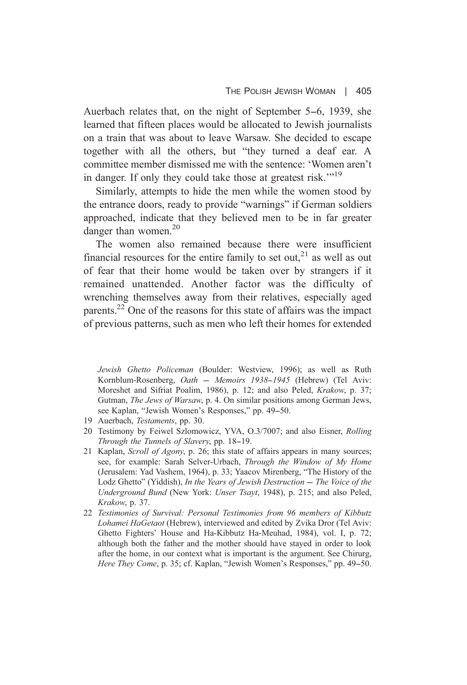Auerbach relates that, on the night of September 5–6, 1939, she learned that fifteen places would be allocated to Jewish journalists on a train that was about to leave Warsaw. She decided to escape together with all the others, but "they turned a deaf ear. A committee member dismissed me with the sentence: 'Women aren't in danger. If only they could take those at greatest risk."<sup>19</sup>

Similarly, attempts to hide the men while the women stood by the entrance doors, ready to provide "warnings" if German soldiers approached, indicate that they believed men to be in far greater danger than women. $20$ 

The women also remained because there were insufficient financial resources for the entire family to set out.<sup>21</sup> as well as out of fear that their home would be taken over by strangers if it remained unattended. Another factor was the difficulty of wrenching themselves away from their relatives, especially aged parents.<sup>22</sup> One of the reasons for this state of affairs was the impact of previous patterns, such as men who left their homes for extended

Jewish Ghetto Policeman (Boulder: Westview, 1996); as well as Ruth Kornblum-Rosenberg, Oath - Memoirs 1938-1945 (Hebrew) (Tel Aviv: Moreshet and Sifriat Poalim, 1986), p. 12; and also Peled, Krakow, p. 37; Gutman. The Jews of Warsaw, p. 4. On similar positions among German Jews. see Kaplan. "Jewish Women's Responses." pp. 49–50.

- 19 Auerbach, Testaments, pp. 30.
- 20 Testimony by Feiwel Szlomowicz, YVA, O.3/7007; and also Eisner, Rolling Through the Tunnels of Slavery, pp. 18-19.
- 21 Kaplan, Scroll of Agony, p. 26; this state of affairs appears in many sources; see, for example: Sarah Selver-Urbach, Through the Window of My Home (Jerusalem: Yad Vashem, 1964), p. 33; Yaacov Mirenberg, "The History of the Lodz Ghetto" (Yiddish), In the Years of Jewish Destruction - The Voice of the Underground Bund (New York: Unser Tsayt, 1948), p. 215; and also Peled, Krakow, p. 37.
- 22 Testimonies of Survival: Personal Testimonies from 96 members of Kibbutz Lohamei HaGetaot (Hebrew), interviewed and edited by Zvika Dror (Tel Aviv: Ghetto Fighters' House and Ha-Kibbutz Ha-Meuhad, 1984), vol. I, p. 72; although both the father and the mother should have staved in order to look after the home, in our context what is important is the argument. See Chirurg, Here They Come, p. 35; cf. Kaplan, "Jewish Women's Responses," pp. 49–50.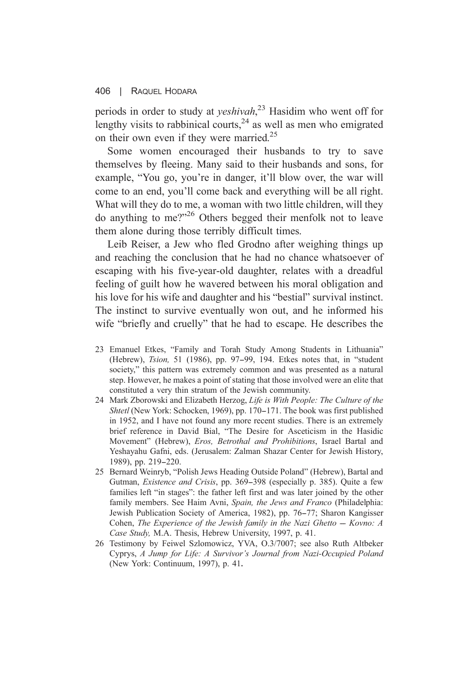periods in order to study at *yeshivah*,<sup>23</sup> Hasidim who went off for lengthy visits to rabbinical courts.<sup>24</sup> as well as men who emigrated on their own even if they were married.<sup>25</sup>

Some women encouraged their husbands to try to save themselves by fleeing. Many said to their husbands and sons, for example, "You go, you're in danger, it'll blow over, the war will come to an end, you'll come back and everything will be all right. What will they do to me, a woman with two little children, will they do anything to me?"<sup>26</sup> Others begged their menfolk not to leave them alone during those terribly difficult times.

Leib Reiser, a Jew who fled Grodno after weighing things up and reaching the conclusion that he had no chance whatsoever of escaping with his five-year-old daughter, relates with a dreadful feeling of guilt how he wavered between his moral obligation and his love for his wife and daughter and his "bestial" survival instinct. The instinct to survive eventually won out, and he informed his wife "briefly and cruelly" that he had to escape. He describes the

- 23 Emanuel Etkes, "Family and Torah Study Among Students in Lithuania" (Hebrew), *Tsion*, 51 (1986), pp. 97–99, 194. Etkes notes that, in "student society," this pattern was extremely common and was presented as a natural step. However, he makes a point of stating that those involved were an elite that constituted a very thin stratum of the Jewish community.
- 24 Mark Zborowski and Elizabeth Herzog, Life is With People: The Culture of the Shtetl (New York: Schocken, 1969), pp. 170–171. The book was first published in 1952, and I have not found any more recent studies. There is an extremely brief reference in David Bial, "The Desire for Asceticism in the Hasidic Movement" (Hebrew), Eros, Betrothal and Prohibitions, Israel Bartal and Yeshayahu Gafni, eds. (Jerusalem: Zalman Shazar Center for Jewish History, 1989), pp. 219-220.
- 25 Bernard Weinryb, "Polish Jews Heading Outside Poland" (Hebrew), Bartal and Gutman, *Existence and Crisis*, pp. 369–398 (especially p. 385). Ouite a few families left "in stages": the father left first and was later joined by the other family members. See Haim Ayni, Spain, the Jews and Franco (Philadelphia: Jewish Publication Society of America, 1982), pp. 76–77; Sharon Kangisser Cohen, The Experience of the Jewish family in the Nazi Ghetto  $-$  Kovno: A Case Study, M.A. Thesis, Hebrew University, 1997, p. 41.
- 26 Testimony by Feiwel Szlomowicz, YVA, O.3/7007; see also Ruth Altbeker Cyprys, A Jump for Life: A Survivor's Journal from Nazi-Occupied Poland (New York: Continuum, 1997), p. 41.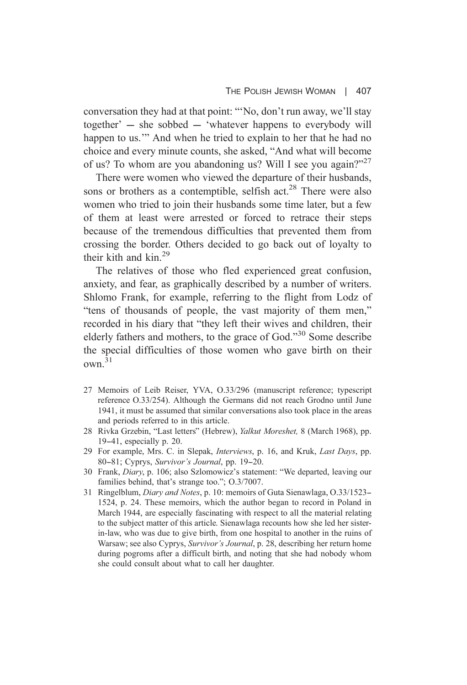conversation they had at that point: "No, don't run away, we'll stay together' – she sobbed – 'whatever happens to everybody will happen to us." And when he tried to explain to her that he had no choice and every minute counts, she asked, "And what will become of us? To whom are you abandoning us? Will I see you again?"27

There were women who viewed the departure of their husbands. sons or brothers as a contemptible, selfish act.<sup>28</sup> There were also women who tried to join their husbands some time later, but a few of them at least were arrested or forced to retrace their steps because of the tremendous difficulties that prevented them from crossing the border. Others decided to go back out of loyalty to their kith and  $\mathrm{kin}^{29}$ 

The relatives of those who fled experienced great confusion, anxiety, and fear, as graphically described by a number of writers. Shlomo Frank, for example, referring to the flight from Lodz of "tens of thousands of people, the vast majority of them men," recorded in his diary that "they left their wives and children, their elderly fathers and mothers, to the grace of God."<sup>30</sup> Some describe the special difficulties of those women who gave birth on their  $\alpha$ wn  $31$ 

- 27 Memoirs of Leib Reiser, YVA, O.33/296 (manuscript reference; typescript reference O.33/254). Although the Germans did not reach Grodno until June 1941, it must be assumed that similar conversations also took place in the areas and periods referred to in this article.
- 28 Rivka Grzebin, "Last letters" (Hebrew), Yalkut Moreshet, 8 (March 1968), pp.  $19-41$ , especially p. 20.
- 29 For example, Mrs. C. in Slepak, *Interviews*, p. 16, and Kruk, *Last Days*, pp. 80-81; Cyprys, Survivor's Journal, pp. 19-20.
- 30 Frank, *Diary*, p. 106; also Szlomowicz's statement: "We departed, leaving our families behind, that's strange too."; O.3/7007.
- 31 Ringelblum, *Diary and Notes*, p. 10: memoirs of Guta Sienawlaga, O.33/1523-1524, p. 24. These memoirs, which the author began to record in Poland in March 1944, are especially fascinating with respect to all the material relating to the subject matter of this article. Sienawlaga recounts how she led her sisterin-law, who was due to give birth, from one hospital to another in the ruins of Warsaw; see also Cyprys, Survivor's Journal, p. 28, describing her return home during pogroms after a difficult birth, and noting that she had nobody whom she could consult about what to call her daughter.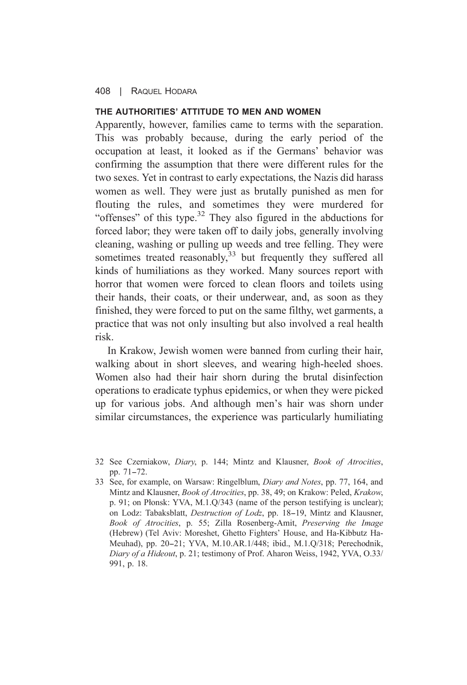# THE AUTHORITIES' ATTITUDE TO MEN AND WOMEN

Apparently, however, families came to terms with the separation. This was probably because, during the early period of the occupation at least, it looked as if the Germans' behavior was confirming the assumption that there were different rules for the two sexes. Yet in contrast to early expectations, the Nazis did harass women as well. They were just as brutally punished as men for flouting the rules, and sometimes they were murdered for "offenses" of this type. $32$  They also figured in the abductions for forced labor; they were taken off to daily jobs, generally involving cleaning, washing or pulling up weeds and tree felling. They were sometimes treated reasonably,<sup>33</sup> but frequently they suffered all kinds of humiliations as they worked. Many sources report with horror that women were forced to clean floors and toilets using their hands, their coats, or their underwear, and, as soon as they finished, they were forced to put on the same filthy, wet garments, a practice that was not only insulting but also involved a real health risk

In Krakow, Jewish women were banned from curling their hair. walking about in short sleeves, and wearing high-heeled shoes. Women also had their hair shorn during the brutal disinfection operations to eradicate typhus epidemics, or when they were picked up for various jobs. And although men's hair was shorn under similar circumstances, the experience was particularly humiliating

<sup>32</sup> See Czerniakow, Diary, p. 144; Mintz and Klausner, Book of Atrocities, pp. 71-72.

<sup>33</sup> See, for example, on Warsaw: Ringelblum, *Diary and Notes*, pp. 77, 164, and Mintz and Klausner, *Book of Atrocities*, pp. 38, 49; on Krakow: Peled, *Krakow*, p. 91; on Plonsk: YVA, M.1.O/343 (name of the person testifying is unclear): on Lodz: Tabaksblatt, *Destruction of Lodz*, pp. 18-19, Mintz and Klausner, Book of Atrocities, p. 55; Zilla Rosenberg-Amit, Preserving the Image (Hebrew) (Tel Aviv: Moreshet, Ghetto Fighters' House, and Ha-Kibbutz Ha-Meuhad), pp. 20-21; YVA, M.10.AR.1/448; ibid., M.1.Q/318; Perechodnik, Diary of a Hideout, p. 21; testimony of Prof. Aharon Weiss, 1942, YVA, O.33/ 991, p. 18.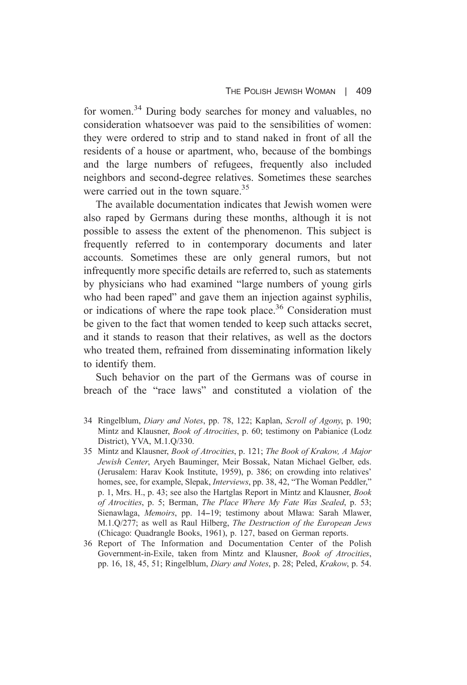for women.<sup>34</sup> During body searches for money and valuables, no consideration whatsoever was paid to the sensibilities of women: they were ordered to strip and to stand naked in front of all the residents of a house or apartment, who, because of the bombings and the large numbers of refugees, frequently also included neighbors and second-degree relatives. Sometimes these searches were carried out in the town square.<sup>35</sup>

The available documentation indicates that Jewish women were also raped by Germans during these months, although it is not possible to assess the extent of the phenomenon. This subject is frequently referred to in contemporary documents and later accounts. Sometimes these are only general rumors, but not infrequently more specific details are referred to, such as statements by physicians who had examined "large numbers of young girls" who had been raped" and gave them an injection against syphilis, or indications of where the rape took place.<sup>36</sup> Consideration must be given to the fact that women tended to keep such attacks secret. and it stands to reason that their relatives, as well as the doctors who treated them, refrained from disseminating information likely to identify them.

Such behavior on the part of the Germans was of course in breach of the "race laws" and constituted a violation of the

- 34 Ringelblum, *Diary and Notes*, pp. 78, 122; Kaplan, *Scroll of Agony*, p. 190; Mintz and Klausner, *Book of Atrocities*, p. 60; testimony on Pabianice (Lodz District), YVA, M.1.Q/330.
- 35 Mintz and Klausner, Book of Atrocities, p. 121; The Book of Krakow, A Major Jewish Center, Aryeh Bauminger, Meir Bossak, Natan Michael Gelber, eds. (Jerusalem: Harav Kook Institute, 1959), p. 386; on crowding into relatives' homes, see, for example, Slepak, *Interviews*, pp. 38, 42, "The Woman Peddler," p. 1, Mrs. H., p. 43; see also the Hartglas Report in Mintz and Klausner, *Book* of Atrocities, p. 5; Berman, The Place Where My Fate Was Sealed, p. 53; Sienawlaga, Memoirs, pp. 14–19; testimony about Mława: Sarah Mlawer, M.1.0/277; as well as Raul Hilberg, The Destruction of the European Jews (Chicago: Quadrangle Books, 1961), p. 127, based on German reports.
- 36 Report of The Information and Documentation Center of the Polish Government-in-Exile, taken from Mintz and Klausner, Book of Atrocities, pp. 16, 18, 45, 51; Ringelblum, *Diary and Notes*, p. 28; Peled, *Krakow*, p. 54.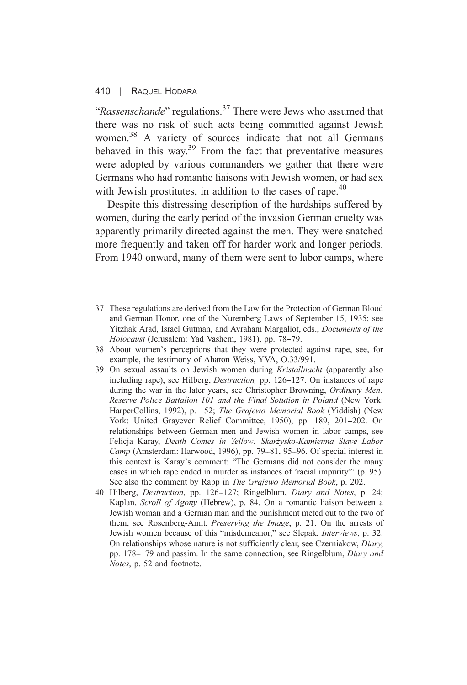#### $410 \quad |$ RAQUEL HODARA

"Rassenschande" regulations.<sup>37</sup> There were Jews who assumed that there was no risk of such acts being committed against Jewish women.<sup>38</sup> A variety of sources indicate that not all Germans behaved in this way.<sup>39</sup> From the fact that preventative measures were adopted by various commanders we gather that there were Germans who had romantic liaisons with Jewish women, or had sex with Jewish prostitutes, in addition to the cases of rape.<sup>40</sup>

Despite this distressing description of the hardships suffered by women, during the early period of the invasion German cruelty was apparently primarily directed against the men. They were snatched more frequently and taken off for harder work and longer periods. From 1940 onward, many of them were sent to labor camps, where

- 37 These regulations are derived from the Law for the Protection of German Blood and German Honor, one of the Nuremberg Laws of September 15, 1935; see Yitzhak Arad, Israel Gutman, and Avraham Margaliot, eds., Documents of the Holocaust (Jerusalem: Yad Vashem, 1981), pp. 78-79.
- 38 About women's perceptions that they were protected against rape, see, for example, the testimony of Aharon Weiss, YVA, O.33/991.
- 39 On sexual assaults on Jewish women during Kristallnacht (apparently also including rape), see Hilberg, *Destruction*, pp. 126–127. On instances of rape during the war in the later years, see Christopher Browning, Ordinary Men: Reserve Police Battalion 101 and the Final Solution in Poland (New York: HarperCollins, 1992), p. 152; The Grajewo Memorial Book (Yiddish) (New York: United Grayever Relief Committee, 1950), pp. 189, 201-202. On relationships between German men and Jewish women in labor camps, see Felicja Karay, Death Comes in Yellow: Skarżysko-Kamienna Slave Labor Camp (Amsterdam: Harwood, 1996), pp. 79–81, 95–96. Of special interest in this context is Karay's comment: "The Germans did not consider the many cases in which rape ended in murder as instances of 'racial impurity'' (p. 95). See also the comment by Rapp in The Grajewo Memorial Book, p. 202.
- 40 Hilberg, *Destruction*, pp. 126–127; Ringelblum, *Diary and Notes*, p. 24; Kaplan, *Scroll of Agony* (Hebrew), p. 84. On a romantic liaison between a Jewish woman and a German man and the punishment meted out to the two of them, see Rosenberg-Amit, *Preserving the Image*, p. 21. On the arrests of Jewish women because of this "misdemeanor," see Slepak, Interviews, p. 32. On relationships whose nature is not sufficiently clear, see Czerniakow, Diary, pp. 178–179 and passim. In the same connection, see Ringelblum, *Diary and* Notes, p. 52 and footnote.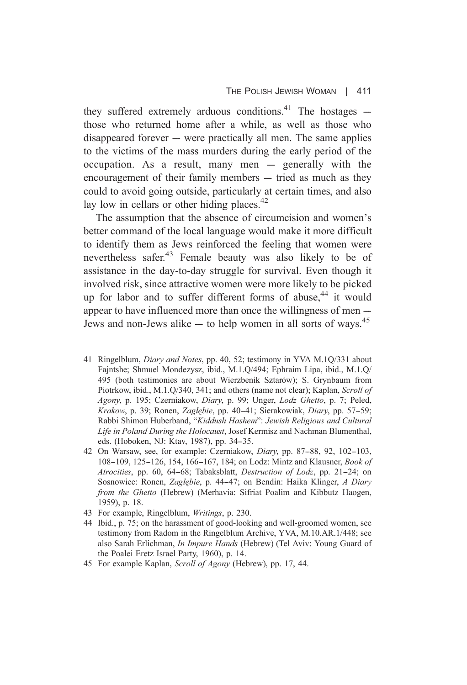they suffered extremely arduous conditions.<sup>41</sup> The hostages  $$ those who returned home after a while, as well as those who disappeared forever — were practically all men. The same applies to the victims of the mass murders during the early period of the occupation. As a result, many men - generally with the encouragement of their family members – tried as much as they could to avoid going outside, particularly at certain times, and also lay low in cellars or other hiding places.  $42$ 

The assumption that the absence of circumcision and women's better command of the local language would make it more difficult to identify them as Jews reinforced the feeling that women were nevertheless safer.<sup>43</sup> Female beauty was also likely to be of assistance in the day-to-day struggle for survival. Even though it involved risk, since attractive women were more likely to be picked up for labor and to suffer different forms of abuse.<sup>44</sup> it would appear to have influenced more than once the willingness of men – Jews and non-Jews alike  $-$  to help women in all sorts of wavs.<sup>45</sup>

- 41 Ringelblum, *Diary and Notes*, pp. 40, 52; testimony in YVA M.10/331 about Faintshe; Shmuel Mondezysz, ibid., M.1.Q/494; Ephraim Lipa, ibid., M.1.Q/ 495 (both testimonies are about Wierzbenik Sztarów); S. Grynbaum from Piotrkow, ibid., M.1.O/340, 341; and others (name not clear); Kaplan, Scroll of Agony, p. 195; Czerniakow, Diary, p. 99; Unger, Lodz Ghetto, p. 7; Peled, Krakow, p. 39; Ronen, Zaglebie, pp. 40–41; Sierakowiak, Diary, pp. 57–59; Rabbi Shimon Huberband, "Kiddush Hashem": Jewish Religious and Cultural Life in Poland During the Holocaust, Josef Kermisz and Nachman Blumenthal, eds. (Hoboken, NJ: Ktav, 1987), pp. 34-35.
- 42 On Warsaw, see, for example: Czerniakow, Diary, pp. 87-88, 92, 102-103, 108-109, 125-126, 154, 166-167, 184; on Lodz: Mintz and Klausner, Book of Atrocities, pp. 60, 64-68; Tabaksblatt, Destruction of Lodz, pp. 21-24; on Sosnowiec: Ronen, Zaglebie, p. 44–47; on Bendin: Haika Klinger, A Diary from the Ghetto (Hebrew) (Merhavia: Sifriat Poalim and Kibbutz Haogen, 1959), p. 18.
- 43 For example, Ringelblum, *Writings*, p. 230.
- 44 Ibid., p. 75; on the harassment of good-looking and well-groomed women, see testimony from Radom in the Ringelblum Archive, YVA, M.10.AR.1/448; see also Sarah Erlichman, *In Impure Hands* (Hebrew) (Tel Aviv: Young Guard of the Poalei Eretz Israel Party, 1960), p. 14.
- 45 For example Kaplan, Scroll of Agony (Hebrew), pp. 17, 44.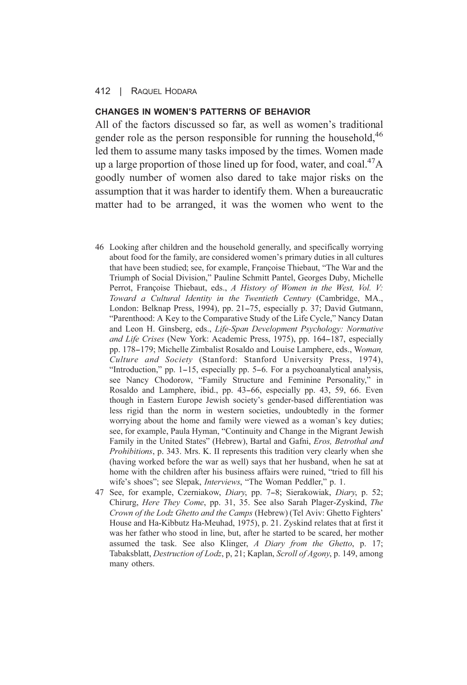### CHANGES IN WOMEN'S PATTERNS OF REHAVIOR

All of the factors discussed so far, as well as women's traditional gender role as the person responsible for running the household, 46 led them to assume many tasks imposed by the times. Women made up a large proportion of those lined up for food, water, and coal.<sup>47</sup>A goodly number of women also dared to take major risks on the assumption that it was harder to identify them. When a bureaucratic matter had to be arranged, it was the women who went to the

- 46 Looking after children and the household generally, and specifically worrying about food for the family, are considered women's primary duties in all cultures that have been studied; see, for example, Françoise Thiebaut, "The War and the Triumph of Social Division," Pauline Schmitt Pantel, Georges Duby, Michelle Perrot, Francoise Thiebaut, eds., A History of Women in the West, Vol. V: Toward a Cultural Identity in the Twentieth Century (Cambridge, MA., London: Belknap Press, 1994), pp. 21–75, especially p. 37; David Gutmann, "Parenthood: A Key to the Comparative Study of the Life Cycle," Nancy Datan and Leon H. Ginsberg, eds., Life-Span Development Psychology: Normative and Life Crises (New York: Academic Press, 1975), pp. 164–187, especially pp. 178–179; Michelle Zimbalist Rosaldo and Louise Lamphere, eds., Woman, Culture and Society (Stanford: Stanford University Press, 1974). "Introduction," pp. 1–15, especially pp. 5–6. For a psychoanalytical analysis, see Nancy Chodorow, "Family Structure and Feminine Personality," in Rosaldo and Lamphere, ibid., pp. 43-66, especially pp. 43, 59, 66. Even though in Eastern Europe Jewish society's gender-based differentiation was less rigid than the norm in western societies, undoubtedly in the former worrying about the home and family were viewed as a woman's key duties; see, for example, Paula Hyman, "Continuity and Change in the Migrant Jewish Family in the United States" (Hebrew), Bartal and Gafni, Eros, Betrothal and Prohibitions, p. 343. Mrs. K. II represents this tradition very clearly when she (having worked before the war as well) says that her husband, when he sat at home with the children after his business affairs were ruined, "tried to fill his wife's shoes"; see Slepak, *Interviews*, "The Woman Peddler," p. 1.
- 47 See, for example, Czerniakow, Diary, pp. 7-8; Sierakowiak, Diary, p. 52; Chirurg, Here They Come, pp. 31, 35. See also Sarah Plager-Zyskind, The Crown of the Lodz Ghetto and the Camps (Hebrew) (Tel Aviv: Ghetto Fighters' House and Ha-Kibbutz Ha-Meuhad, 1975), p. 21. Zyskind relates that at first it was her father who stood in line, but, after he started to be scared, her mother assumed the task. See also Klinger, A Diary from the Ghetto, p. 17; Tabaksblatt, Destruction of Lodz, p, 21; Kaplan, Scroll of Agony, p. 149, among many others.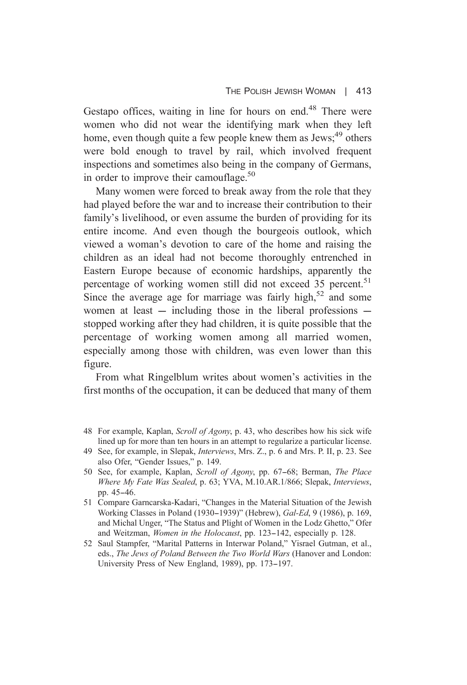Gestapo offices, waiting in line for hours on end.<sup>48</sup> There were women who did not wear the identifying mark when they left home, even though quite a few people knew them as Jews;<sup>49</sup> others were bold enough to travel by rail, which involved frequent inspections and sometimes also being in the company of Germans, in order to improve their camouflage.<sup>50</sup>

Many women were forced to break away from the role that they had played before the war and to increase their contribution to their family's livelihood, or even assume the burden of providing for its entire income. And even though the bourgeois outlook, which viewed a woman's devotion to care of the home and raising the children as an ideal had not become thoroughly entrenched in Eastern Europe because of economic hardships, apparently the percentage of working women still did not exceed 35 percent.<sup>51</sup> Since the average age for marriage was fairly high,  $52$  and some women at least  $-$  including those in the liberal professions  $$ stopped working after they had children, it is quite possible that the percentage of working women among all married women, especially among those with children, was even lower than this figure.

From what Ringelblum writes about women's activities in the first months of the occupation, it can be deduced that many of them

- 49 See, for example, in Slepak, *Interviews*, Mrs. Z., p. 6 and Mrs. P. II, p. 23. See also Ofer, "Gender Issues," p. 149.
- 50 See, for example, Kaplan, Scroll of Agony, pp. 67-68; Berman, The Place Where My Fate Was Sealed, p. 63; YVA, M.10.AR.1/866; Slepak, Interviews, pp. 45-46.
- 51 Compare Garncarska-Kadari, "Changes in the Material Situation of the Jewish Working Classes in Poland (1930–1939)" (Hebrew), Gal-Ed, 9 (1986), p. 169, and Michal Unger, "The Status and Plight of Women in the Lodz Ghetto," Ofer and Weitzman, *Women in the Holocaust*, pp. 123–142, especially p. 128.
- 52 Saul Stampfer, "Marital Patterns in Interwar Poland," Yisrael Gutman, et al., eds., The Jews of Poland Between the Two World Wars (Hanover and London: University Press of New England, 1989), pp. 173-197.

<sup>48</sup> For example, Kaplan, Scroll of Agony, p. 43, who describes how his sick wife lined up for more than ten hours in an attempt to regularize a particular license.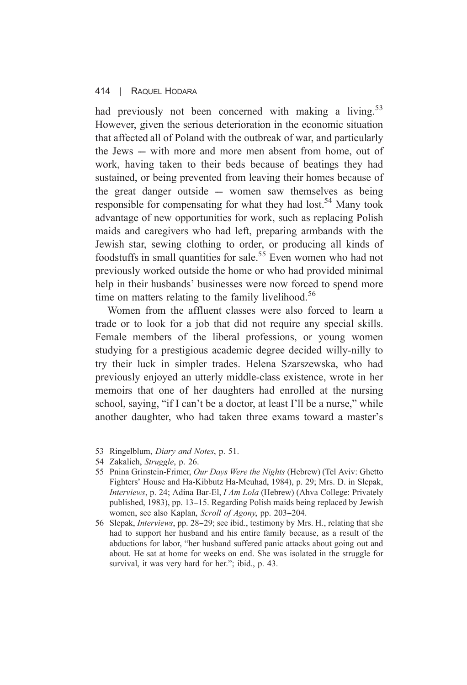#### $414$   $\parallel$ RAQUEL HODARA

had previously not been concerned with making a living.<sup>53</sup> However, given the serious deterioration in the economic situation that affected all of Poland with the outbreak of war, and particularly the Jews – with more and more men absent from home, out of work, having taken to their beds because of beatings they had sustained, or being prevented from leaving their homes because of the great danger outside  $-$  women saw themselves as being responsible for compensating for what they had lost.<sup>54</sup> Many took advantage of new opportunities for work, such as replacing Polish maids and caregivers who had left, preparing armbands with the Jewish star, sewing clothing to order, or producing all kinds of foodstuffs in small quantities for sale.<sup>55</sup> Even women who had not previously worked outside the home or who had provided minimal help in their husbands' businesses were now forced to spend more time on matters relating to the family livelihood.<sup>56</sup>

Women from the affluent classes were also forced to learn a trade or to look for a job that did not require any special skills. Female members of the liberal professions, or young women studying for a prestigious academic degree decided willy-nilly to try their luck in simpler trades. Helena Szarszewska, who had previously enjoyed an utterly middle-class existence, wrote in her memoirs that one of her daughters had enrolled at the nursing school, saving, "if I can't be a doctor, at least I'll be a nurse," while another daughter, who had taken three exams toward a master's

- 53 Ringelblum, Diary and Notes, p. 51.
- 54 Zakalich, Struggle, p. 26.
- 55 Pnina Grinstein-Frimer, Our Days Were the Nights (Hebrew) (Tel Aviv: Ghetto Fighters' House and Ha-Kibbutz Ha-Meuhad, 1984), p. 29; Mrs. D. in Slepak, Interviews, p. 24; Adina Bar-El, *I Am Lola* (Hebrew) (Ahva College: Privately published, 1983), pp. 13–15. Regarding Polish maids being replaced by Jewish women, see also Kaplan, Scroll of Agony, pp. 203-204.
- 56 Slepak, *Interviews*, pp. 28–29; see ibid., testimony by Mrs. H., relating that she had to support her husband and his entire family because, as a result of the abductions for labor, "her husband suffered panic attacks about going out and about. He sat at home for weeks on end. She was isolated in the struggle for survival, it was very hard for her."; ibid., p. 43.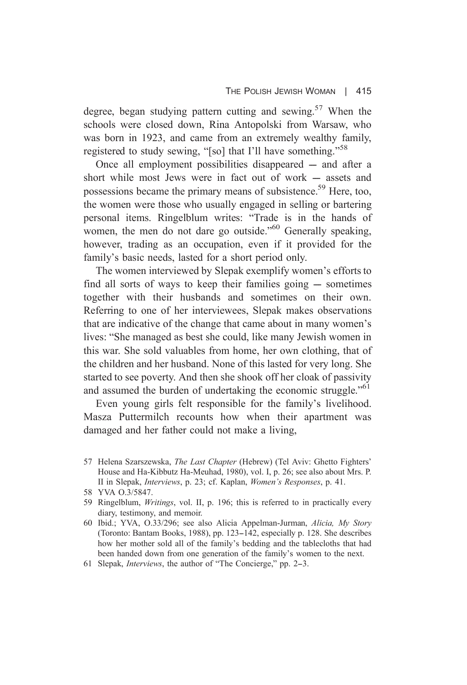degree, began studying pattern cutting and sewing.<sup>57</sup> When the schools were closed down. Rina Antopolski from Warsaw, who was born in 1923, and came from an extremely wealthy family. registered to study sewing, "[so] that I'll have something."<sup>58</sup>

Once all employment possibilities disappeared – and after a short while most Jews were in fact out of work  $-$  assets and possessions became the primary means of subsistence.<sup>59</sup> Here, too, the women were those who usually engaged in selling or bartering personal items. Ringelblum writes: "Trade is in the hands of women, the men do not dare go outside."<sup>60</sup> Generally speaking, however, trading as an occupation, even if it provided for the family's basic needs, lasted for a short period only.

The women interviewed by Slepak exemplify women's efforts to find all sorts of ways to keep their families going – sometimes together with their husbands and sometimes on their own. Referring to one of her interviewees, Slepak makes observations that are indicative of the change that came about in many women's lives: "She managed as best she could, like many Jewish women in this war. She sold valuables from home, her own clothing, that of the children and her husband. None of this lasted for very long. She started to see poverty. And then she shook off her cloak of passivity and assumed the burden of undertaking the economic struggle."<sup>61</sup>

Even young girls felt responsible for the family's livelihood. Masza Puttermilch recounts how when their apartment was damaged and her father could not make a living,

<sup>57</sup> Helena Szarszewska, The Last Chapter (Hebrew) (Tel Aviv: Ghetto Fighters' House and Ha-Kibbutz Ha-Meuhad, 1980), vol. I, p. 26; see also about Mrs. P. II in Slepak, *Interviews*, p. 23; cf. Kaplan, *Women's Responses*, p. 41.

<sup>58</sup> YVA 0.3/5847.

<sup>59</sup> Ringelblum, *Writings*, vol. II, p. 196; this is referred to in practically every diary, testimony, and memoir.

<sup>60</sup> Ibid.; YVA, O.33/296; see also Alicia Appelman-Jurman, Alicia, My Story (Toronto: Bantam Books, 1988), pp. 123–142, especially p. 128. She describes how her mother sold all of the family's bedding and the tablecloths that had been handed down from one generation of the family's women to the next.

<sup>61</sup> Slepak, *Interviews*, the author of "The Concierge," pp. 2–3.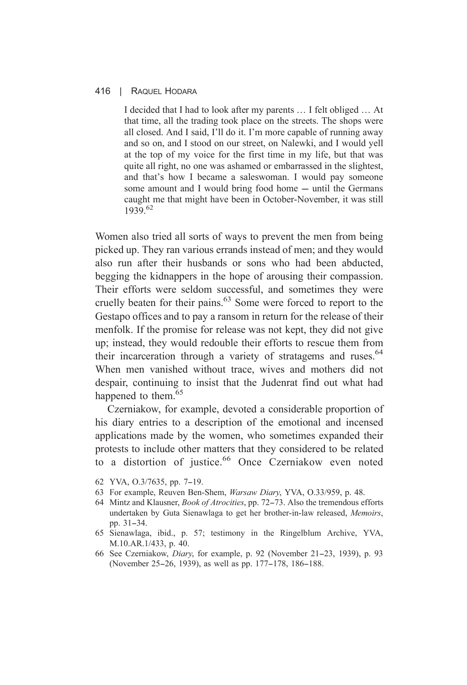I decided that I had to look after my parents ... I felt obliged ... At that time, all the trading took place on the streets. The shops were all closed. And I said, I'll do it. I'm more capable of running away and so on, and I stood on our street, on Nalewki, and I would yell at the top of my voice for the first time in my life, but that was quite all right, no one was ashamed or embarrassed in the slightest, and that's how I became a sales woman. I would pay someone some amount and I would bring food home – until the Germans caught me that might have been in October-November, it was still  $1939^{62}$ 

Women also tried all sorts of ways to prevent the men from being picked up. They ran various errands instead of men: and they would also run after their husbands or sons who had been abducted. begging the kidnappers in the hope of arousing their compassion. Their efforts were seldom successful, and sometimes they were cruelly beaten for their pains.<sup>63</sup> Some were forced to report to the Gestapo offices and to pay a ransom in return for the release of their menfolk. If the promise for release was not kept, they did not give up: instead, they would redouble their efforts to rescue them from their incarceration through a variety of stratagems and ruses.<sup>64</sup> When men vanished without trace, wives and mothers did not despair, continuing to insist that the Judenrat find out what had happened to them.<sup>65</sup>

Czerniakow, for example, devoted a considerable proportion of his diary entries to a description of the emotional and incensed applications made by the women, who sometimes expanded their protests to include other matters that they considered to be related to a distortion of justice.<sup>66</sup> Once Czerniakow even noted

- 62 YVA, 0.3/7635, pp. 7-19.
- 63 For example, Reuven Ben-Shem, *Warsaw Diary*, YVA, 0.33/959, p. 48.
- 64 Mintz and Klausner, *Book of Atrocities*, pp. 72–73. Also the tremendous efforts undertaken by Guta Sienawlaga to get her brother-in-law released, Memoirs, pp. 31-34.
- 65 Sienawlaga, ibid., p. 57; testimony in the Ringelblum Archive, YVA, M.10.AR.1/433, p. 40.
- 66 See Czerniakow, *Diary*, for example, p. 92 (November 21-23, 1939), p. 93 (November 25–26, 1939), as well as pp. 177–178, 186–188.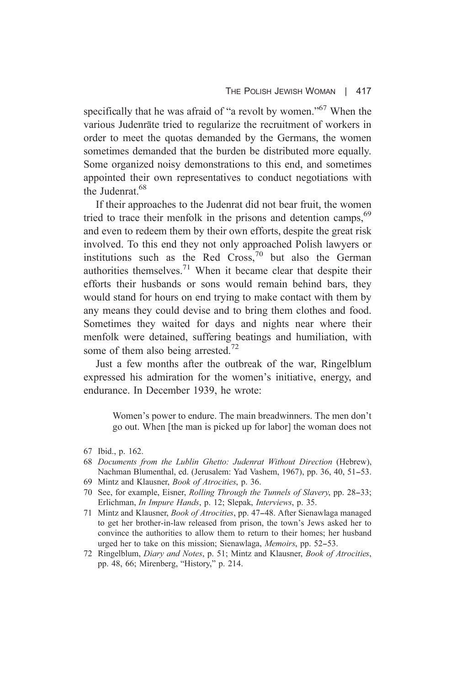specifically that he was afraid of "a revolt by women."<sup>67</sup> When the various Judenräte tried to regularize the recruitment of workers in order to meet the quotas demanded by the Germans, the women sometimes demanded that the burden be distributed more equally. Some organized noisy demonstrations to this end, and sometimes appointed their own representatives to conduct negotiations with the Judenrat<sup>68</sup>

If their approaches to the Judenrat did not bear fruit, the women tried to trace their menfolk in the prisons and detention camps, <sup>69</sup> and even to redeem them by their own efforts, despite the great risk involved. To this end they not only approached Polish lawyers or institutions such as the Red Cross,  $70$  but also the German authorities themselves.<sup>71</sup> When it became clear that despite their efforts their husbands or sons would remain behind bars, they would stand for hours on end trying to make contact with them by any means they could devise and to bring them clothes and food. Sometimes they waited for days and nights near where their menfolk were detained, suffering beatings and humiliation, with some of them also being arrested.<sup>72</sup>

Just a few months after the outbreak of the war, Ringelblum expressed his admiration for the women's initiative, energy, and endurance. In December 1939, he wrote:

> Women's power to endure. The main breadwinners. The men don't go out. When I the man is picked up for labor the woman does not

- 68 Documents from the Lublin Ghetto: Judenrat Without Direction (Hebrew), Nachman Blumenthal, ed. (Jerusalem: Yad Vashem, 1967), pp. 36, 40, 51–53.
- 69 Mintz and Klausner, *Book of Atrocities*, p. 36.
- 70 See, for example, Eisner, *Rolling Through the Tunnels of Slavery*, pp. 28–33; Erlichman, *In Impure Hands*, p. 12; Slepak, *Interviews*, p. 35.
- 71 Mintz and Klausner, *Book of Atrocities*, pp. 47–48. After Sienawlaga managed to get her brother-in-law released from prison, the town's Jews asked her to convince the authorities to allow them to return to their homes; her husband urged her to take on this mission: Sienawlaga, *Memoirs*, pp. 52–53.
- 72 Ringelblum, Diary and Notes, p. 51; Mintz and Klausner, Book of Atrocities, pp. 48, 66; Mirenberg, "History," p. 214.

<sup>67</sup> Ibid., p. 162.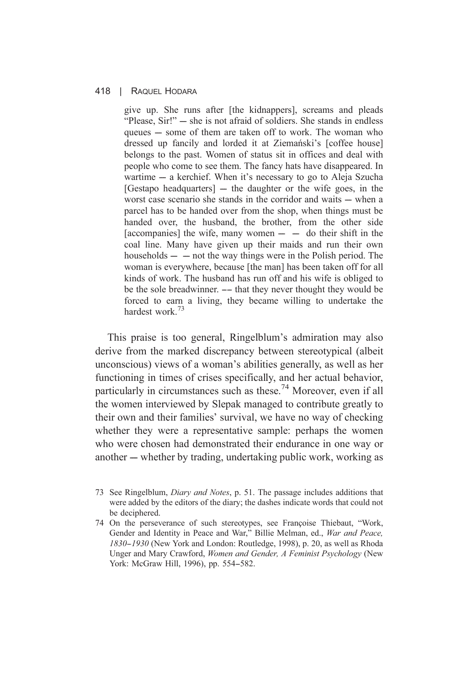give up. She runs after [the kidnappers], screams and pleads "Please, Sir!" — she is not afraid of soldiers. She stands in endless queues – some of them are taken off to work. The woman who dressed up fancily and lorded it at Ziemański's [coffee house] belongs to the past. Women of status sit in offices and deal with people who come to see them. The fancy hats have disappeared. In wartime – a kerchief. When it's necessary to go to Aleja Szucha [Gestapo headquarters] — the daughter or the wife goes, in the worst case scenario she stands in the corridor and waits  $-$  when a parcel has to be handed over from the shop, when things must be handed over, the husband, the brother, from the other side [accompanies] the wife, many women  $-$  do their shift in the coal line. Many have given up their maids and run their own households  $-$  - not the way things were in the Polish period. The woman is everywhere, because [the man] has been taken off for all kinds of work. The husband has run off and his wife is obliged to be the sole breadwinner. -- that they never thought they would be forced to earn a living, they became willing to undertake the hardest work<sup>73</sup>

This praise is too general, Ringelblum's admiration may also derive from the marked discrepancy between stereotypical (albeit unconscious) views of a woman's abilities generally, as well as her functioning in times of crises specifically, and her actual behavior, particularly in circumstances such as these.<sup>74</sup> Moreover, even if all the women interviewed by Slepak managed to contribute greatly to their own and their families' survival, we have no way of checking whether they were a representative sample: perhaps the women who were chosen had demonstrated their endurance in one way or another — whether by trading, undertaking public work, working as

<sup>73</sup> See Ringelblum, *Diary and Notes*, p. 51. The passage includes additions that were added by the editors of the diary; the dashes indicate words that could not be deciphered.

<sup>74</sup> On the perseverance of such stereotypes, see Francoise Thiebaut, "Work, Gender and Identity in Peace and War," Billie Melman, ed., War and Peace, 1830-1930 (New York and London: Routledge, 1998), p. 20, as well as Rhoda Unger and Mary Crawford, Women and Gender, A Feminist Psychology (New York: McGraw Hill, 1996), pp. 554-582.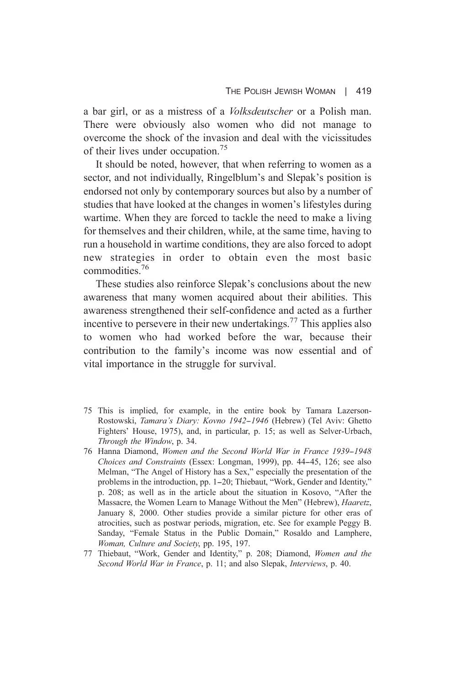a bar girl, or as a mistress of a *Volksdeutscher* or a Polish man. There were obviously also women who did not manage to overcome the shock of the invasion and deal with the vicissitudes of their lives under occupation.<sup>75</sup>

It should be noted, however, that when referring to women as a sector, and not individually, Ringelblum's and Slepak's position is endorsed not only by contemporary sources but also by a number of studies that have looked at the changes in women's lifestyles during wartime. When they are forced to tackle the need to make a living for themselves and their children, while, at the same time, having to run a household in wartime conditions, they are also forced to adopt new strategies in order to obtain even the most basic commodities.<sup>76</sup>

These studies also reinforce Slepak's conclusions about the new awareness that many women acquired about their abilities. This awareness strengthened their self-confidence and acted as a further incentive to persevere in their new undertakings.<sup>77</sup> This applies also to women who had worked before the war, because their contribution to the family's income was now essential and of vital importance in the struggle for survival.

- 75 This is implied, for example, in the entire book by Tamara Lazerson-Rostowski, Tamara's Diary: Kovno 1942-1946 (Hebrew) (Tel Aviv: Ghetto Fighters' House, 1975), and, in particular, p. 15; as well as Selver-Urbach, Through the Window, p. 34.
- 76 Hanna Diamond, Women and the Second World War in France 1939-1948 Choices and Constraints (Essex: Longman, 1999), pp. 44-45, 126; see also Melman, "The Angel of History has a Sex," especially the presentation of the problems in the introduction, pp. 1-20; Thiebaut, "Work, Gender and Identity," p. 208; as well as in the article about the situation in Kosovo, "After the Massacre, the Women Learn to Manage Without the Men" (Hebrew), *Haaretz*, January 8, 2000. Other studies provide a similar picture for other eras of atrocities, such as postwar periods, migration, etc. See for example Peggy B. Sanday, "Female Status in the Public Domain," Rosaldo and Lamphere, Woman, Culture and Society, pp. 195, 197.
- 77 Thiebaut, "Work, Gender and Identity," p. 208; Diamond, Women and the Second World War in France, p. 11; and also Slepak, Interviews, p. 40.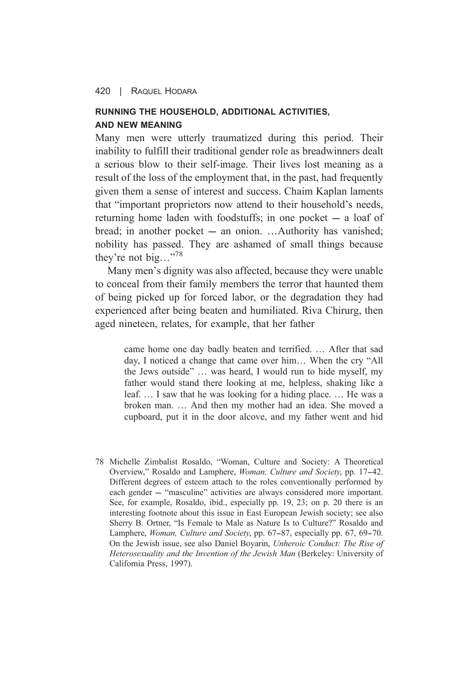# **RUNNING THE HOUSEHOLD, ADDITIONAL ACTIVITIES. AND NEW MEANING**

Many men were utterly traumatized during this period. Their inability to fulfill their traditional gender role as breadwinners dealt a serious blow to their self-image. Their lives lost meaning as a result of the loss of the employment that, in the past, had frequently given them a sense of interest and success. Chaim Kaplan laments that "important proprietors now attend to their household's needs. returning home laden with foodstuffs; in one pocket  $-$  a loaf of bread; in another pocket - an onion. ...Authority has vanished; nobility has passed. They are ashamed of small things because they're not big..."<sup>78</sup>

Many men's dignity was also affected, because they were unable to conceal from their family members the terror that haunted them of being picked up for forced labor, or the degradation they had experienced after being beaten and humiliated. Riva Chirurg, then aged nineteen, relates, for example, that her father

> came home one day badly beaten and terrified. ... After that sad day, I noticed a change that came over him... When the cry "All the Jews outside" ... was heard, I would run to hide myself, my father would stand there looking at me, helpless, shaking like a leaf... I saw that he was looking for a hiding place... He was a broken man. ... And then my mother had an idea. She moved a cupboard, put it in the door alcove, and my father went and hid

78 Michelle Zimbalist Rosaldo, "Woman, Culture and Society: A Theoretical Overview," Rosaldo and Lamphere, Woman, Culture and Society, pp. 17-42. Different degrees of esteem attach to the roles conventionally performed by each gender - "masculine" activities are always considered more important. See, for example, Rosaldo, ibid., especially pp. 19, 23; on p. 20 there is an interesting footnote about this issue in East European Jewish society; see also Sherry B. Ortner, "Is Female to Male as Nature Is to Culture?" Rosaldo and Lamphere, Woman, Culture and Society, pp. 67-87, especially pp. 67, 69-70. On the Jewish issue, see also Daniel Boyarin, Unheroic Conduct: The Rise of Heterosexuality and the Invention of the Jewish Man (Berkeley: University of California Press, 1997).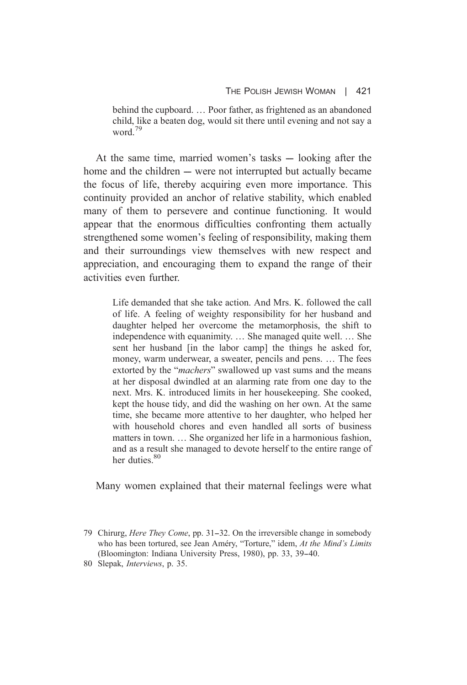behind the cupboard. ... Poor father, as frightened as an abandoned child, like a beaten dog, would sit there until evening and not say a word  $^{79}$ 

At the same time, married women's tasks — looking after the home and the children — were not interrupted but actually became the focus of life, thereby acquiring even more importance. This continuity provided an anchor of relative stability, which enabled many of them to persevere and continue functioning. It would appear that the enormous difficulties confronting them actually strengthened some women's feeling of responsibility, making them and their surroundings view themselves with new respect and appreciation, and encouraging them to expand the range of their activities even further

> Life demanded that she take action. And Mrs. K. followed the call of life. A feeling of weighty responsibility for her husband and daughter helped her overcome the metamorphosis, the shift to independence with equanimity. ... She managed quite well. ... She sent her husband [in the labor camp] the things he asked for. money, warm underwear, a sweater, pencils and pens. ... The fees extorted by the "machers" swallowed up vast sums and the means at her disposal dwindled at an alarming rate from one day to the next. Mrs. K. introduced limits in her housekeeping. She cooked, kept the house tidy, and did the washing on her own. At the same time, she became more attentive to her daughter, who helped her with household chores and even handled all sorts of business matters in town... She organized her life in a harmonious fashion, and as a result she managed to devote herself to the entire range of her duties.<sup>80</sup>

Many women explained that their maternal feelings were what

<sup>79</sup> Chirurg, *Here They Come*, pp. 31–32. On the irreversible change in somebody who has been tortured, see Jean Améry, "Torture," idem, At the Mind's Limits (Bloomington: Indiana University Press, 1980), pp. 33, 39-40.

<sup>80</sup> Slepak, Interviews, p. 35.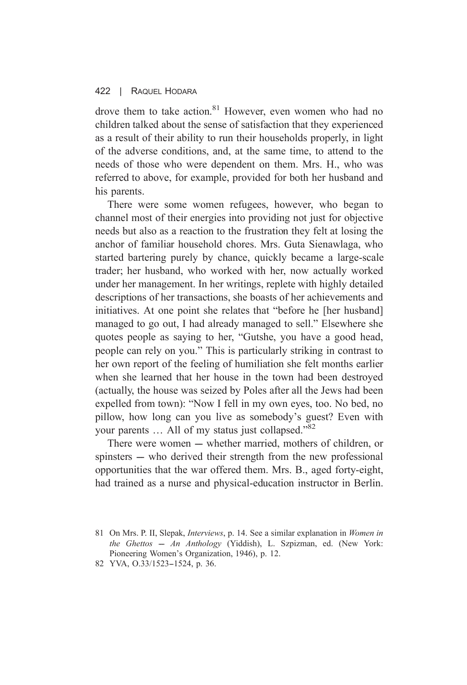drove them to take action. $81$  However, even women who had no children talked about the sense of satisfaction that they experienced as a result of their ability to run their households properly, in light of the adverse conditions, and, at the same time, to attend to the needs of those who were dependent on them. Mrs. H., who was referred to above, for example, provided for both her husband and his parents.

There were some women refugees, however, who began to channel most of their energies into providing not just for objective needs but also as a reaction to the frustration they felt at losing the anchor of familiar household chores. Mrs. Guta Sienawlaga, who started bartering purely by chance, quickly became a large-scale trader; her husband, who worked with her, now actually worked under her management. In her writings, replete with highly detailed descriptions of her transactions, she boasts of her achievements and initiatives. At one point she relates that "before he [her husband] managed to go out, I had already managed to sell." Elsewhere she quotes people as saying to her, "Gutshe, you have a good head, people can rely on you." This is particularly striking in contrast to her own report of the feeling of humiliation she felt months earlier when she learned that her house in the town had been destroyed (actually, the house was seized by Poles after all the Jews had been expelled from town): "Now I fell in my own eves, too. No bed, no pillow, how long can you live as somebody's guest? Even with your parents ... All of my status just collapsed."82

There were women  $-$  whether married, mothers of children, or spinsters — who derived their strength from the new professional opportunities that the war offered them. Mrs. B., aged forty-eight, had trained as a nurse and physical-education instructor in Berlin.

<sup>81</sup> On Mrs. P. II, Slepak, *Interviews*, p. 14. See a similar explanation in *Women in* the Ghettos - An Anthology (Yiddish), L. Szpizman, ed. (New York: Pioneering Women's Organization, 1946), p. 12.

<sup>82</sup> YVA, 0.33/1523-1524, p. 36.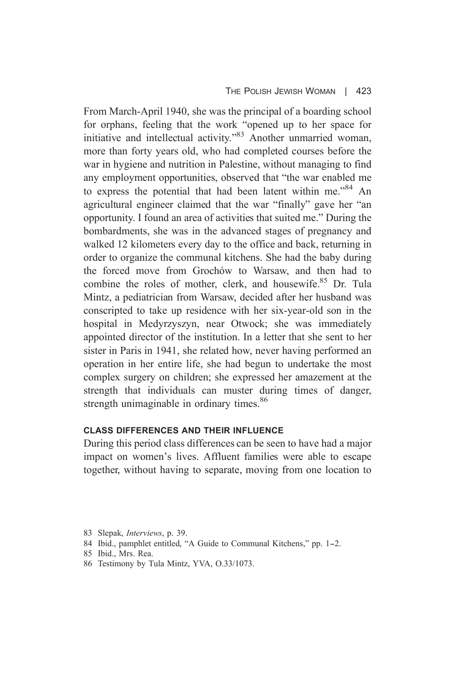From March-April 1940, she was the principal of a boarding school for orphans, feeling that the work "opened up to her space for initiative and intellectual activity."<sup>83</sup> Another unmarried woman, more than forty years old, who had completed courses before the war in hygiene and nutrition in Palestine, without managing to find any employment opportunities, observed that "the war enabled me to express the potential that had been latent within me."<sup>84</sup> An agricultural engineer claimed that the war "finally" gave her "an opportunity. I found an area of activities that suited me." During the bombardments, she was in the advanced stages of pregnancy and walked 12 kilometers every day to the office and back, returning in order to organize the communal kitchens. She had the baby during the forced move from Grochów to Warsaw, and then had to combine the roles of mother, clerk, and housewife.<sup>85</sup> Dr. Tula Mintz, a pediatrician from Warsaw, decided after her husband was conscripted to take up residence with her six-year-old son in the hospital in Medyrzyszyn, near Otwock; she was immediately appointed director of the institution. In a letter that she sent to her sister in Paris in 1941, she related how, never having performed an operation in her entire life, she had begun to undertake the most complex surgery on children; she expressed her amazement at the strength that individuals can muster during times of danger, strength unimaginable in ordinary times.<sup>86</sup>

## **CLASS DIFFERENCES AND THEIR INFLUENCE**

During this period class differences can be seen to have had a major impact on women's lives. Affluent families were able to escape together, without having to separate, moving from one location to

- 85 Ibid., Mrs. Rea.
- 86 Testimony by Tula Mintz, YVA, O.33/1073.

<sup>83</sup> Slepak, Interviews, p. 39.

<sup>84</sup> Ibid., pamphlet entitled, "A Guide to Communal Kitchens," pp. 1-2.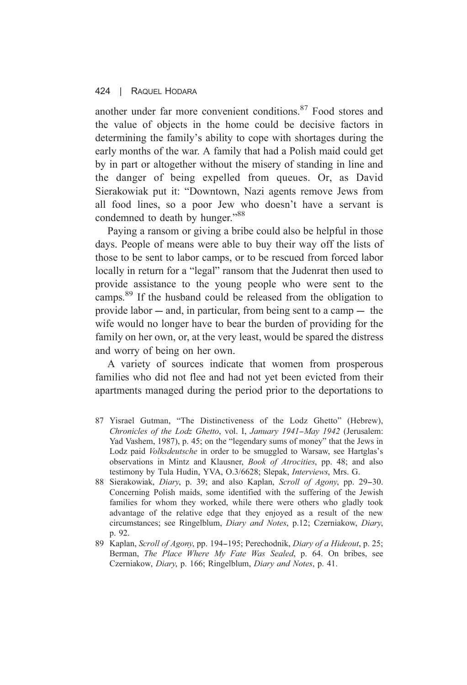#### $424$   $\parallel$ RAQUEL HODARA

another under far more convenient conditions.<sup>87</sup> Food stores and the value of objects in the home could be decisive factors in determining the family's ability to cope with shortages during the early months of the war. A family that had a Polish maid could get by in part or altogether without the misery of standing in line and the danger of being expelled from queues. Or, as David Sierakowiak put it: "Downtown, Nazi agents remove Jews from all food lines, so a poor Jew who doesn't have a servant is condemned to death by hunger."88

Paying a ransom or giving a bribe could also be helpful in those days. People of means were able to buy their way off the lists of those to be sent to labor camps, or to be rescued from forced labor locally in return for a "legal" ransom that the Judenrat then used to provide assistance to the young people who were sent to the camps.<sup>89</sup> If the husband could be released from the obligation to provide labor  $-$  and, in particular, from being sent to a camp  $-$  the wife would no longer have to bear the burden of providing for the family on her own, or, at the very least, would be spared the distress and worry of being on her own.

A variety of sources indicate that women from prosperous families who did not flee and had not yet been evicted from their apartments managed during the period prior to the deportations to

- 87 Yisrael Gutman, "The Distinctiveness of the Lodz Ghetto" (Hebrew), Chronicles of the Lodz Ghetto, vol. I, January 1941-May 1942 (Jerusalem: Yad Vashem, 1987), p. 45; on the "legendary sums of money" that the Jews in Lodz paid Volksdeutsche in order to be smuggled to Warsaw, see Hartglas's observations in Mintz and Klausner, *Book of Atrocities*, pp. 48; and also testimony by Tula Hudin, YVA, O.3/6628; Slepak, Interviews, Mrs. G.
- 88 Sierakowiak, *Diary*, p. 39; and also Kaplan, *Scroll of Agony*, pp. 29–30. Concerning Polish maids, some identified with the suffering of the Jewish families for whom they worked, while there were others who gladly took advantage of the relative edge that they enjoyed as a result of the new circumstances; see Ringelblum, Diary and Notes, p.12; Czerniakow, Diary, p. 92.
- 89 Kaplan, Scroll of Agony, pp. 194–195; Perechodnik, Diary of a Hideout, p. 25; Berman, The Place Where My Fate Was Sealed, p. 64. On bribes, see Czerniakow, Diary, p. 166; Ringelblum, Diary and Notes, p. 41.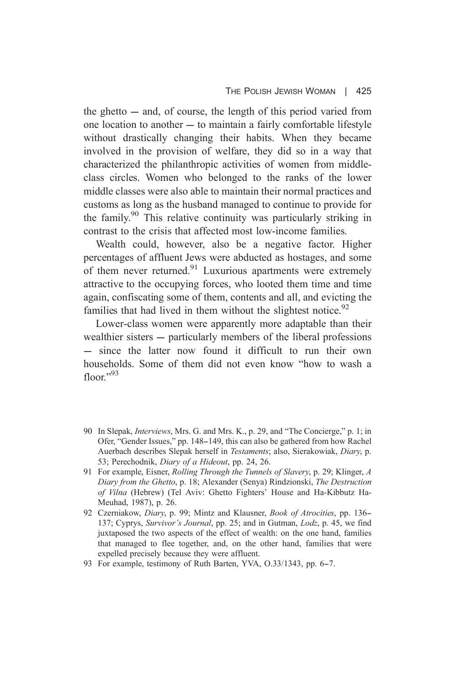the ghetto  $-$  and, of course, the length of this period varied from one location to another – to maintain a fairly comfortable lifestyle without drastically changing their habits. When they became involved in the provision of welfare, they did so in a way that characterized the philanthropic activities of women from middleclass circles. Women who belonged to the ranks of the lower middle classes were also able to maintain their normal practices and customs as long as the husband managed to continue to provide for the family.<sup>90</sup> This relative continuity was particularly striking in contrast to the crisis that affected most low-income families.

Wealth could, however, also be a negative factor. Higher percentages of affluent Jews were abducted as hostages, and some of them never returned.<sup>91</sup> Luxurious apartments were extremely attractive to the occupying forces, who looted them time and time again, confiscating some of them, contents and all, and evicting the families that had lived in them without the slightest notice.<sup>92</sup>

Lower-class women were apparently more adaptable than their wealthier sisters — particularly members of the liberal professions  $-$  since the latter now found it difficult to run their own households. Some of them did not even know "how to wash a  $floor^{93}$ 

- 90 In Slepak, *Interviews*, Mrs. G. and Mrs. K., p. 29, and "The Concierge," p. 1; in Ofer, "Gender Issues," pp. 148-149, this can also be gathered from how Rachel Auerbach describes Slepak herself in Testaments; also, Sierakowiak, Diary, p. 53; Perechodnik, Diary of a Hideout, pp. 24, 26.
- 91 For example, Eisner, *Rolling Through the Tunnels of Slavery*, p. 29; Klinger, A Diary from the Ghetto, p. 18; Alexander (Senya) Rindzionski, The Destruction of Vilna (Hebrew) (Tel Aviv: Ghetto Fighters' House and Ha-Kibbutz Ha-Meuhad, 1987), p. 26.
- 92 Czerniakow, Diary, p. 99; Mintz and Klausner, Book of Atrocities, pp. 136– 137; Cyprys, Survivor's Journal, pp. 25; and in Gutman, Lodz, p. 45, we find juxtaposed the two aspects of the effect of wealth: on the one hand, families that managed to flee together, and, on the other hand, families that were expelled precisely because they were affluent.
- 93 For example, testimony of Ruth Barten, YVA, O.33/1343, pp. 6–7.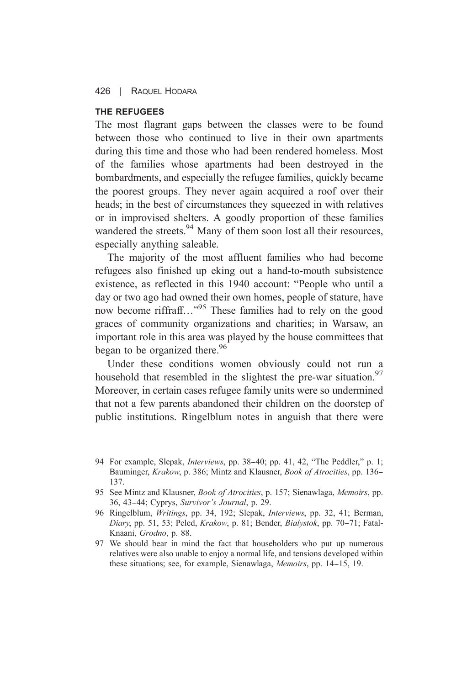$426$   $\overline{\phantom{0}}$ RAQUEL HODARA

### THE REFUGEES

The most flagrant gaps between the classes were to be found between those who continued to live in their own apartments during this time and those who had been rendered homeless. Most of the families whose apartments had been destroyed in the bombardments, and especially the refugee families, quickly became the poorest groups. They never again acquired a roof over their heads: in the best of circumstances they squeezed in with relatives or in improvised shelters. A goodly proportion of these families wandered the streets.<sup>94</sup> Many of them soon lost all their resources, especially anything saleable.

The majority of the most affluent families who had become refugees also finished up eking out a hand-to-mouth subsistence existence, as reflected in this 1940 account: "People who until a day or two ago had owned their own homes, people of stature, have now become riffraff..."<sup>95</sup> These families had to rely on the good graces of community organizations and charities; in Warsaw, an important role in this area was played by the house committees that began to be organized there.<sup>96</sup>

Under these conditions women obviously could not run a household that resembled in the slightest the pre-war situation.<sup>97</sup> Moreover, in certain cases refugee family units were so undermined that not a few parents abandoned their children on the doorstep of public institutions. Ringelblum notes in anguish that there were

- 96 Ringelblum, *Writings*, pp. 34, 192; Slepak, *Interviews*, pp. 32, 41; Berman, Diary, pp. 51, 53; Peled, Krakow, p. 81; Bender, Bialystok, pp. 70-71; Fatal-Knaani, Grodno, p. 88.
- 97 We should bear in mind the fact that householders who put up numerous relatives were also unable to enjoy a normal life, and tensions developed within these situations; see, for example, Sienawlaga, Memoirs, pp. 14–15, 19.

<sup>94</sup> For example, Slepak, *Interviews*, pp. 38–40; pp. 41, 42, "The Peddler," p. 1; Bauminger, Krakow, p. 386; Mintz and Klausner, *Book of Atrocities*, pp. 136– 137.

<sup>95</sup> See Mintz and Klausner, *Book of Atrocities*, p. 157; Sienawlaga, *Memoirs*, pp. 36, 43-44; Cyprys, Survivor's Journal, p. 29.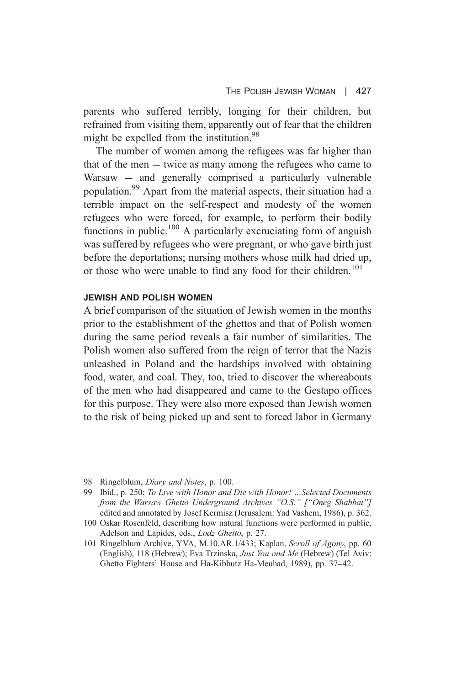parents who suffered terribly, longing for their children, but refrained from visiting them, apparently out of fear that the children might be expelled from the institution.<sup>98</sup>

The number of women among the refugees was far higher than that of the men  $-$  twice as many among the refugees who came to Warsaw - and generally comprised a particularly vulnerable population.<sup>99</sup> Apart from the material aspects, their situation had a terrible impact on the self-respect and modesty of the women refugees who were forced, for example, to perform their bodily functions in public.<sup>100</sup> A particularly excruciating form of anguish was suffered by refugees who were pregnant, or who gave birth just before the deportations: nursing mothers whose milk had dried up. or those who were unable to find any food for their children.<sup>101</sup>

### **JEWISH AND POLISH WOMEN**

A brief comparison of the situation of Jewish women in the months prior to the establishment of the ghettos and that of Polish women during the same period reveals a fair number of similarities. The Polish women also suffered from the reign of terror that the Nazis unleashed in Poland and the hardships involved with obtaining food, water, and coal. They, too, tried to discover the whereabouts of the men who had disappeared and came to the Gestapo offices for this purpose. They were also more exposed than Jewish women to the risk of being picked up and sent to forced labor in Germany

- 100 Oskar Rosenfeld, describing how natural functions were performed in public, Adelson and Lapides, eds., Lodz Ghetto, p. 27.
- 101 Ringelblum Archive, YVA, M.10.AR.1/433; Kaplan, Scroll of Agony, pp. 60 (English), 118 (Hebrew); Eva Trzinska, Just You and Me (Hebrew) (Tel Aviv: Ghetto Fighters' House and Ha-Kibbutz Ha-Meuhad, 1989), pp. 37-42.

<sup>98</sup> Ringelblum, *Diary and Notes*, p. 100.

<sup>99</sup> Ibid., p. 250; To Live with Honor and Die with Honor! ... Selected Documents from the Warsaw Ghetto Underground Archives "O.S." ["Oneg Shabbat"] edited and annotated by Josef Kermisz (Jerusalem: Yad Vashem, 1986), p. 362.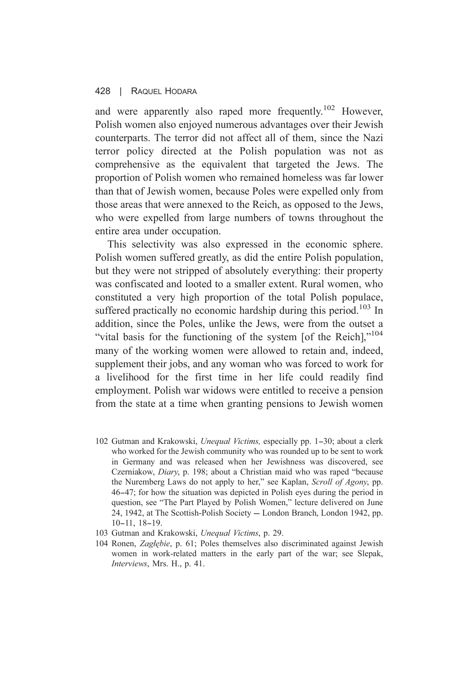and were apparently also raped more frequently.<sup>102</sup> However. Polish women also enjoyed numerous advantages over their Jewish counterparts. The terror did not affect all of them, since the Nazi terror policy directed at the Polish population was not as comprehensive as the equivalent that targeted the Jews. The proportion of Polish women who remained homeless was far lower than that of Jewish women, because Poles were expelled only from those areas that were annexed to the Reich, as opposed to the Jews. who were expelled from large numbers of towns throughout the entire area under occupation.

This selectivity was also expressed in the economic sphere. Polish women suffered greatly, as did the entire Polish population. but they were not stripped of absolutely everything: their property was confiscated and looted to a smaller extent. Rural women, who constituted a very high proportion of the total Polish populace, suffered practically no economic hardship during this period.<sup>103</sup> In addition, since the Poles, unlike the Jews, were from the outset a "vital basis for the functioning of the system [of the Reich],"<sup>104</sup> many of the working women were allowed to retain and, indeed, supplement their jobs, and any woman who was forced to work for a livelihood for the first time in her life could readily find employment. Polish war widows were entitled to receive a pension from the state at a time when granting pensions to Jewish women

- 102 Gutman and Krakowski, Unequal Victims, especially pp. 1-30; about a clerk who worked for the Jewish community who was rounded up to be sent to work in Germany and was released when her Jewishness was discovered, see Czerniakow, Diary, p. 198; about a Christian maid who was raped "because the Nuremberg Laws do not apply to her," see Kaplan, Scroll of Agony, pp. 46–47; for how the situation was depicted in Polish eyes during the period in question, see "The Part Played by Polish Women," lecture delivered on June 24, 1942, at The Scottish-Polish Society - London Branch, London 1942, pp.  $10-11$ ,  $18-19$ .
- 103 Gutman and Krakowski, Unequal Victims, p. 29.
- 104 Ronen, Zaglebie, p. 61; Poles themselves also discriminated against Jewish women in work-related matters in the early part of the war; see Slepak, Interviews, Mrs. H., p. 41.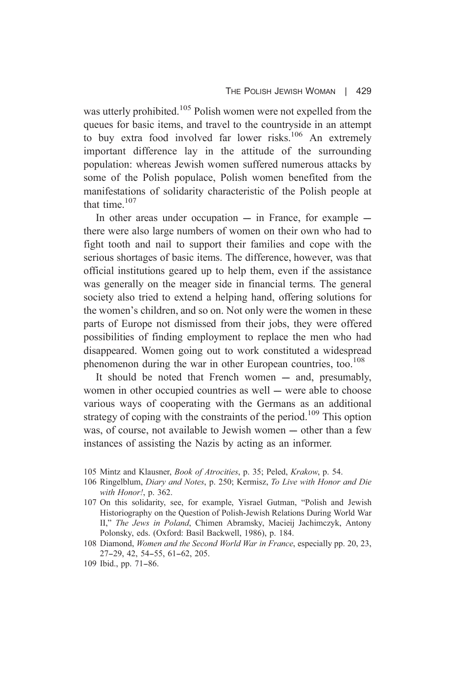was utterly prohibited.<sup>105</sup> Polish women were not expelled from the queues for basic items, and travel to the country side in an attempt to buy extra food involved far lower risks.<sup>106</sup> An extremely important difference lay in the attitude of the surrounding population: whereas Jewish women suffered numerous attacks by some of the Polish populace, Polish women benefited from the manifestations of solidarity characteristic of the Polish people at that time  $107$ 

In other areas under occupation  $-$  in France, for example  $$ there were also large numbers of women on their own who had to fight tooth and nail to support their families and cope with the serious shortages of basic items. The difference, however, was that official institutions geared up to help them, even if the assistance was generally on the meager side in financial terms. The general society also tried to extend a helping hand, offering solutions for the women's children, and so on. Not only were the women in these parts of Europe not dismissed from their jobs, they were offered possibilities of finding employment to replace the men who had disappeared. Women going out to work constituted a widespread phenomenon during the war in other European countries, too.<sup>108</sup>

It should be noted that French women – and, presumably, women in other occupied countries as well — were able to choose various ways of cooperating with the Germans as an additional strategy of coping with the constraints of the period.<sup>109</sup> This option was, of course, not available to Jewish women — other than a few instances of assisting the Nazis by acting as an informer.

- 105 Mintz and Klausner, *Book of Atrocities*, p. 35; Peled, *Krakow*, p. 54.
- 106 Ringelblum, Diary and Notes, p. 250; Kermisz, To Live with Honor and Die with Honor!, p. 362.
- 107 On this solidarity, see, for example, Yisrael Gutman, "Polish and Jewish" Historiography on the Question of Polish-Jewish Relations During World War II," The Jews in Poland, Chimen Abramsky, Macieij Jachimczyk, Antony Polonsky, eds. (Oxford: Basil Backwell, 1986), p. 184.
- 108 Diamond, Women and the Second World War in France, especially pp. 20, 23, 27-29, 42, 54-55, 61-62, 205.
- 109 Ibid., pp. 71-86.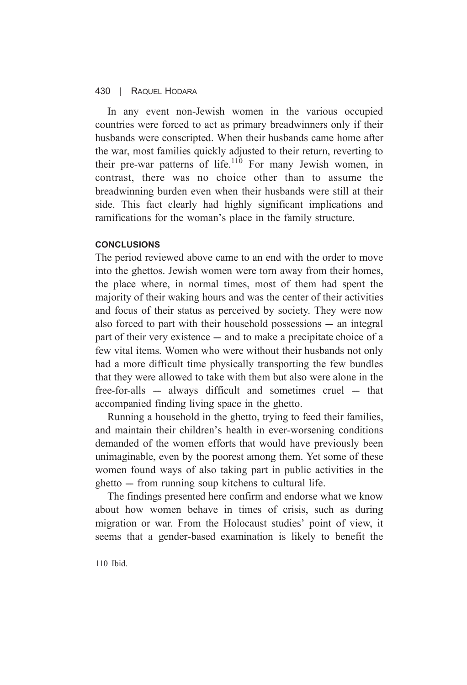In any event non-Jewish women in the various occupied countries were forced to act as primary breadwinners only if their husbands were conscripted. When their husbands came home after the war, most families quickly adjusted to their return, reverting to their pre-war patterns of life.<sup>110</sup> For many Jewish women, in contrast, there was no choice other than to assume the breadwinning burden even when their husbands were still at their side. This fact clearly had highly significant implications and ramifications for the woman's place in the family structure.

### **CONCLUSIONS**

The period reviewed above came to an end with the order to move into the ghettos. Jewish women were torn away from their homes, the place where, in normal times, most of them had spent the majority of their waking hours and was the center of their activities and focus of their status as perceived by society. They were now also forced to part with their household possessions – an integral part of their very existence — and to make a precipitate choice of a few vital items. Women who were without their husbands not only had a more difficult time physically transporting the few bundles that they were allowed to take with them but also were alone in the free-for-alls – always difficult and sometimes cruel – that accompanied finding living space in the ghetto.

Running a household in the ghetto, trying to feed their families, and maintain their children's health in ever-worsening conditions demanded of the women efforts that would have previously been unimaginable, even by the poorest among them. Yet some of these women found ways of also taking part in public activities in the ghetto — from running soup kitchens to cultural life.

The findings presented here confirm and endorse what we know about how women behave in times of crisis, such as during migration or war. From the Holocaust studies' point of view, it seems that a gender-based examination is likely to benefit the

 $110$  Ibid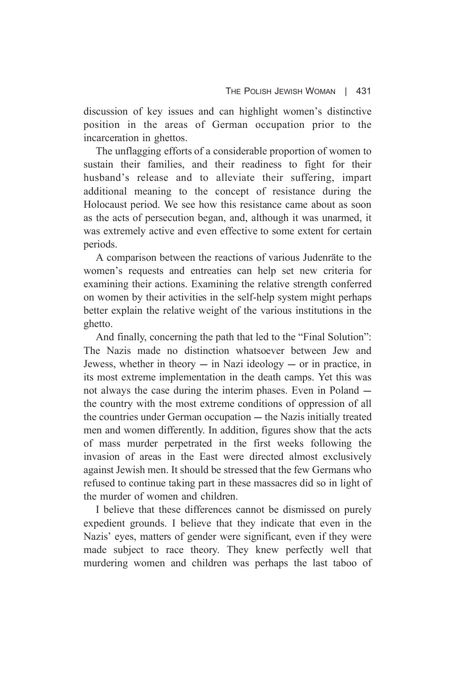discussion of key issues and can highlight women's distinctive position in the areas of German occupation prior to the incarceration in ghettos.

The unflagging efforts of a considerable proportion of women to sustain their families, and their readiness to fight for their husband's release and to alleviate their suffering, impart additional meaning to the concept of resistance during the Holocaust period. We see how this resistance came about as soon as the acts of persecution began, and, although it was unarmed, it was extremely active and even effective to some extent for certain periods.

A comparison between the reactions of various Judenräte to the women's requests and entreaties can help set new criteria for examining their actions. Examining the relative strength conferred on women by their activities in the self-help system might perhaps better explain the relative weight of the various institutions in the ghetto.

And finally, concerning the path that led to the "Final Solution": The Nazis made no distinction whatsoever between Jew and Jewess, whether in theory  $-$  in Nazi ideology  $-$  or in practice, in its most extreme implementation in the death camps. Yet this was not always the case during the interim phases. Even in Poland – the country with the most extreme conditions of oppression of all the countries under German occupation — the Nazis initially treated men and women differently. In addition, figures show that the acts of mass murder perpetrated in the first weeks following the invasion of areas in the East were directed almost exclusively against Jewish men. It should be stressed that the few Germans who refused to continue taking part in these massacres did so in light of the murder of women and children

I believe that these differences cannot be dismissed on purely expedient grounds. I believe that they indicate that even in the Nazis' eyes, matters of gender were significant, even if they were made subject to race theory. They knew perfectly well that murdering women and children was perhaps the last taboo of